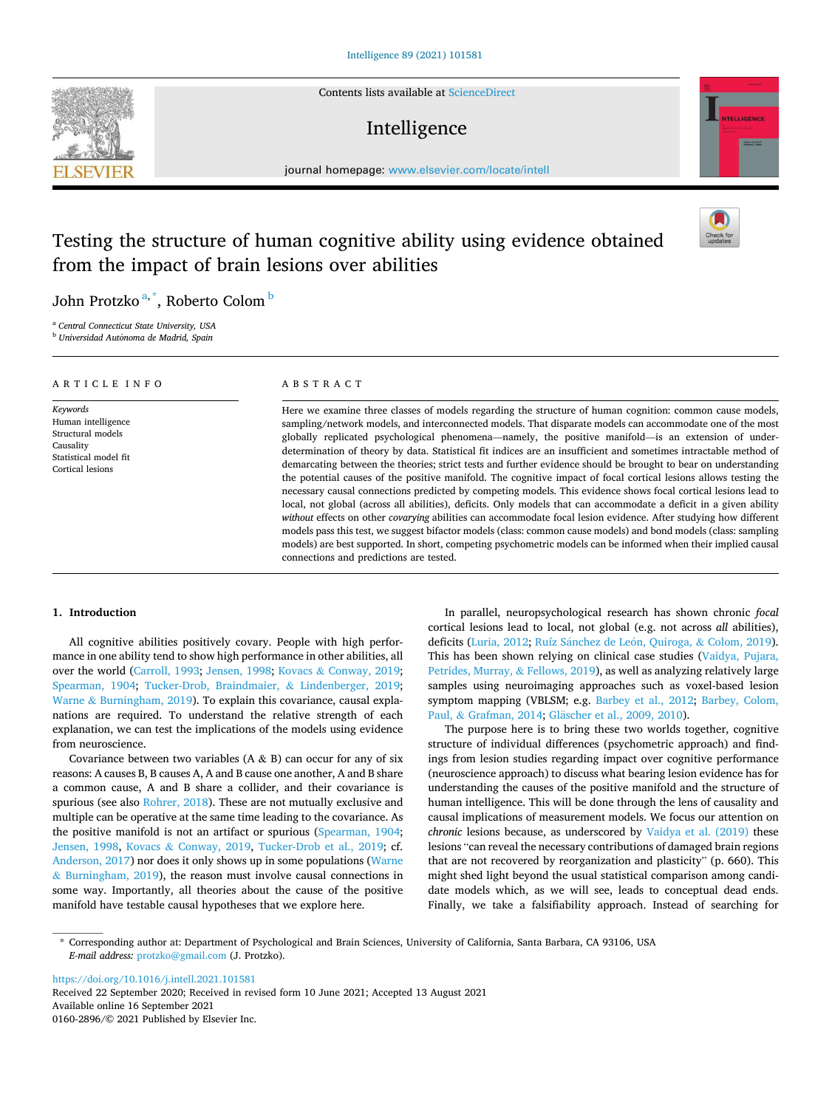Contents lists available at [ScienceDirect](www.sciencedirect.com/science/journal/01602896)

# Intelligence



journal homepage: [www.elsevier.com/locate/intell](https://www.elsevier.com/locate/intell) 

# Testing the structure of human cognitive ability using evidence obtained from the impact of brain lesions over abilities



John Protzko<sup>a,\*</sup>, Roberto Colom<sup>b</sup>

<sup>a</sup> *Central Connecticut State University, USA*  <sup>b</sup> *Universidad Aut*´*onoma de Madrid, Spain* 

## A R T I C L E I N F O

**SEVIER** 

*Keywords*  Human intelligence Structural models Causality Statistical model fit Cortical lesions

#### ABSTRACT

Here we examine three classes of models regarding the structure of human cognition: common cause models, sampling/network models, and interconnected models. That disparate models can accommodate one of the most globally replicated psychological phenomena—namely, the positive manifold—is an extension of underdetermination of theory by data. Statistical fit indices are an insufficient and sometimes intractable method of demarcating between the theories; strict tests and further evidence should be brought to bear on understanding the potential causes of the positive manifold. The cognitive impact of focal cortical lesions allows testing the necessary causal connections predicted by competing models. This evidence shows focal cortical lesions lead to local, not global (across all abilities), deficits. Only models that can accommodate a deficit in a given ability *without* effects on other *covarying* abilities can accommodate focal lesion evidence. After studying how different models pass this test, we suggest bifactor models (class: common cause models) and bond models (class: sampling models) are best supported. In short, competing psychometric models can be informed when their implied causal connections and predictions are tested.

## **1. Introduction**

All cognitive abilities positively covary. People with high performance in one ability tend to show high performance in other abilities, all over the world ([Carroll, 1993;](#page-11-0) [Jensen, 1998](#page-11-0); Kovacs & [Conway, 2019](#page-11-0); [Spearman, 1904](#page-12-0); [Tucker-Drob, Braindmaier,](#page-12-0) & Lindenberger, 2019; Warne & [Burningham, 2019\)](#page-12-0). To explain this covariance, causal explanations are required. To understand the relative strength of each explanation, we can test the implications of the models using evidence from neuroscience.

Covariance between two variables  $(A \& B)$  can occur for any of six reasons: A causes B, B causes A, A and B cause one another, A and B share a common cause, A and B share a collider, and their covariance is spurious (see also [Rohrer, 2018](#page-12-0)). These are not mutually exclusive and multiple can be operative at the same time leading to the covariance. As the positive manifold is not an artifact or spurious [\(Spearman, 1904](#page-12-0); [Jensen, 1998,](#page-11-0) Kovacs & [Conway, 2019,](#page-11-0) [Tucker-Drob et al., 2019;](#page-12-0) cf. [Anderson, 2017](#page-10-0)) nor does it only shows up in some populations ([Warne](#page-12-0)  & [Burningham, 2019\)](#page-12-0), the reason must involve causal connections in some way. Importantly, all theories about the cause of the positive manifold have testable causal hypotheses that we explore here.

In parallel, neuropsychological research has shown chronic *focal*  cortical lesions lead to local, not global (e.g. not across *all* abilities), deficits [\(Luria, 2012](#page-12-0); Ruíz Sánchez de León, Quiroga, & Colom, 2019). This has been shown relying on clinical case studies ([Vaidya, Pujara,](#page-12-0)  [Petrides, Murray,](#page-12-0) & Fellows, 2019), as well as analyzing relatively large samples using neuroimaging approaches such as voxel-based lesion symptom mapping (VBLSM; e.g. [Barbey et al., 2012;](#page-11-0) [Barbey, Colom,](#page-11-0)  Paul, & [Grafman, 2014;](#page-11-0) Gläscher et al., 2009, 2010).

The purpose here is to bring these two worlds together, cognitive structure of individual differences (psychometric approach) and findings from lesion studies regarding impact over cognitive performance (neuroscience approach) to discuss what bearing lesion evidence has for understanding the causes of the positive manifold and the structure of human intelligence. This will be done through the lens of causality and causal implications of measurement models. We focus our attention on *chronic lesions because, as underscored by Vaidya et al.* (2019) these lesions "can reveal the necessary contributions of damaged brain regions that are not recovered by reorganization and plasticity" (p. 660). This might shed light beyond the usual statistical comparison among candidate models which, as we will see, leads to conceptual dead ends. Finally, we take a falsifiability approach. Instead of searching for

<https://doi.org/10.1016/j.intell.2021.101581>

Available online 16 September 2021 0160-2896/© 2021 Published by Elsevier Inc. Received 22 September 2020; Received in revised form 10 June 2021; Accepted 13 August 2021

<sup>\*</sup> Corresponding author at: Department of Psychological and Brain Sciences, University of California, Santa Barbara, CA 93106, USA *E-mail address:* [protzko@gmail.com](mailto:protzko@gmail.com) (J. Protzko).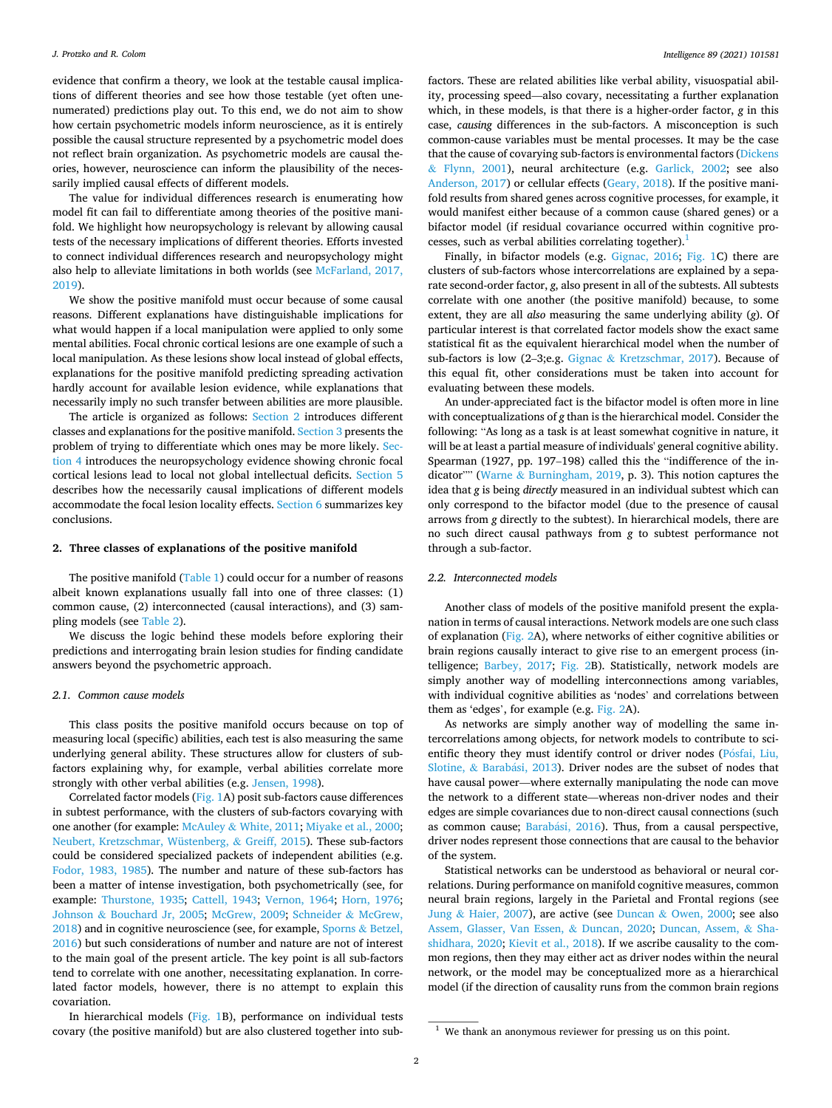evidence that confirm a theory, we look at the testable causal implications of different theories and see how those testable (yet often unenumerated) predictions play out. To this end, we do not aim to show how certain psychometric models inform neuroscience, as it is entirely possible the causal structure represented by a psychometric model does not reflect brain organization. As psychometric models are causal theories, however, neuroscience can inform the plausibility of the necessarily implied causal effects of different models.

The value for individual differences research is enumerating how model fit can fail to differentiate among theories of the positive manifold. We highlight how neuropsychology is relevant by allowing causal tests of the necessary implications of different theories. Efforts invested to connect individual differences research and neuropsychology might also help to alleviate limitations in both worlds (see [McFarland, 2017,](#page-12-0)  [2019\)](#page-12-0).

We show the positive manifold must occur because of some causal reasons. Different explanations have distinguishable implications for what would happen if a local manipulation were applied to only some mental abilities. Focal chronic cortical lesions are one example of such a local manipulation. As these lesions show local instead of global effects, explanations for the positive manifold predicting spreading activation hardly account for available lesion evidence, while explanations that necessarily imply no such transfer between abilities are more plausible.

The article is organized as follows: Section 2 introduces different classes and explanations for the positive manifold. [Section 3](#page-3-0) presents the problem of trying to differentiate which ones may be more likely. [Sec](#page-5-0)[tion 4](#page-5-0) introduces the neuropsychology evidence showing chronic focal cortical lesions lead to local not global intellectual deficits. [Section 5](#page-6-0)  describes how the necessarily causal implications of different models accommodate the focal lesion locality effects. [Section 6](#page-9-0) summarizes key conclusions.

#### **2. Three classes of explanations of the positive manifold**

The positive manifold [\(Table 1](#page-2-0)) could occur for a number of reasons albeit known explanations usually fall into one of three classes: (1) common cause, (2) interconnected (causal interactions), and (3) sampling models (see [Table 2](#page-2-0)).

We discuss the logic behind these models before exploring their predictions and interrogating brain lesion studies for finding candidate answers beyond the psychometric approach.

# *2.1. Common cause models*

This class posits the positive manifold occurs because on top of measuring local (specific) abilities, each test is also measuring the same underlying general ability. These structures allow for clusters of subfactors explaining why, for example, verbal abilities correlate more strongly with other verbal abilities (e.g. [Jensen, 1998](#page-11-0)).

Correlated factor models ([Fig. 1A](#page-2-0)) posit sub-factors cause differences in subtest performance, with the clusters of sub-factors covarying with one another (for example: McAuley & [White, 2011; Miyake et al., 2000](#page-12-0); [Neubert, Kretzschmar, Wüstenberg,](#page-12-0) & Greiff, 2015). These sub-factors could be considered specialized packets of independent abilities (e.g. [Fodor, 1983, 1985](#page-11-0)). The number and nature of these sub-factors has been a matter of intense investigation, both psychometrically (see, for example: [Thurstone, 1935](#page-12-0); [Cattell, 1943](#page-11-0); [Vernon, 1964](#page-12-0); [Horn, 1976](#page-11-0); Johnson & [Bouchard Jr, 2005](#page-11-0); [McGrew, 2009](#page-12-0); [Schneider](#page-12-0) & McGrew, [2018\)](#page-12-0) and in cognitive neuroscience (see, for example, [Sporns](#page-12-0) & Betzel, [2016\)](#page-12-0) but such considerations of number and nature are not of interest to the main goal of the present article. The key point is all sub-factors tend to correlate with one another, necessitating explanation. In correlated factor models, however, there is no attempt to explain this covariation.

factors. These are related abilities like verbal ability, visuospatial ability, processing speed—also covary, necessitating a further explanation which, in these models, is that there is a higher-order factor, *g* in this case, *causing* differences in the sub-factors. A misconception is such common-cause variables must be mental processes. It may be the case that the cause of covarying sub-factors is environmental factors [\(Dickens](#page-11-0)  & [Flynn, 2001](#page-11-0)), neural architecture (e.g. [Garlick, 2002](#page-11-0); see also [Anderson, 2017\)](#page-10-0) or cellular effects ([Geary, 2018](#page-11-0)). If the positive manifold results from shared genes across cognitive processes, for example, it would manifest either because of a common cause (shared genes) or a bifactor model (if residual covariance occurred within cognitive processes, such as verbal abilities correlating together).<sup>1</sup>

Finally, in bifactor models (e.g. [Gignac, 2016](#page-11-0); [Fig. 1](#page-2-0)C) there are clusters of sub-factors whose intercorrelations are explained by a separate second-order factor, *g*, also present in all of the subtests. All subtests correlate with one another (the positive manifold) because, to some extent, they are all *also* measuring the same underlying ability (*g*). Of particular interest is that correlated factor models show the exact same statistical fit as the equivalent hierarchical model when the number of sub-factors is low (2–3;e.g. Gignac & [Kretzschmar, 2017](#page-11-0)). Because of this equal fit, other considerations must be taken into account for evaluating between these models.

An under-appreciated fact is the bifactor model is often more in line with conceptualizations of *g* than is the hierarchical model. Consider the following: "As long as a task is at least somewhat cognitive in nature, it will be at least a partial measure of individuals' general cognitive ability. Spearman (1927, pp. 197–198) called this the "indifference of the indicator"" (Warne & [Burningham, 2019,](#page-12-0) p. 3). This notion captures the idea that *g* is being *directly* measured in an individual subtest which can only correspond to the bifactor model (due to the presence of causal arrows from *g* directly to the subtest). In hierarchical models, there are no such direct causal pathways from *g* to subtest performance not through a sub-factor.

#### *2.2. Interconnected models*

Another class of models of the positive manifold present the explanation in terms of causal interactions. Network models are one such class of explanation [\(Fig. 2](#page-3-0)A), where networks of either cognitive abilities or brain regions causally interact to give rise to an emergent process (intelligence; [Barbey, 2017](#page-11-0); [Fig. 2](#page-3-0)B). Statistically, network models are simply another way of modelling interconnections among variables, with individual cognitive abilities as 'nodes' and correlations between them as 'edges', for example (e.g. [Fig. 2A](#page-3-0)).

As networks are simply another way of modelling the same intercorrelations among objects, for network models to contribute to scientific theory they must identify control or driver nodes (Pósfai, Liu, Slotine, & Barabási, 2013). Driver nodes are the subset of nodes that have causal power—where externally manipulating the node can move the network to a different state—whereas non-driver nodes and their edges are simple covariances due to non-direct causal connections (such as common cause; Barabási, 2016). Thus, from a causal perspective, driver nodes represent those connections that are causal to the behavior of the system.

Statistical networks can be understood as behavioral or neural correlations. During performance on manifold cognitive measures, common neural brain regions, largely in the Parietal and Frontal regions (see Jung & [Haier, 2007](#page-11-0)), are active (see Duncan & [Owen, 2000;](#page-11-0) see also [Assem, Glasser, Van Essen,](#page-10-0) & Duncan, 2020; [Duncan, Assem,](#page-11-0) & Sha[shidhara, 2020; Kievit et al., 2018](#page-11-0)). If we ascribe causality to the common regions, then they may either act as driver nodes within the neural network, or the model may be conceptualized more as a hierarchical model (if the direction of causality runs from the common brain regions

 $1$  We thank an anonymous reviewer for pressing us on this point.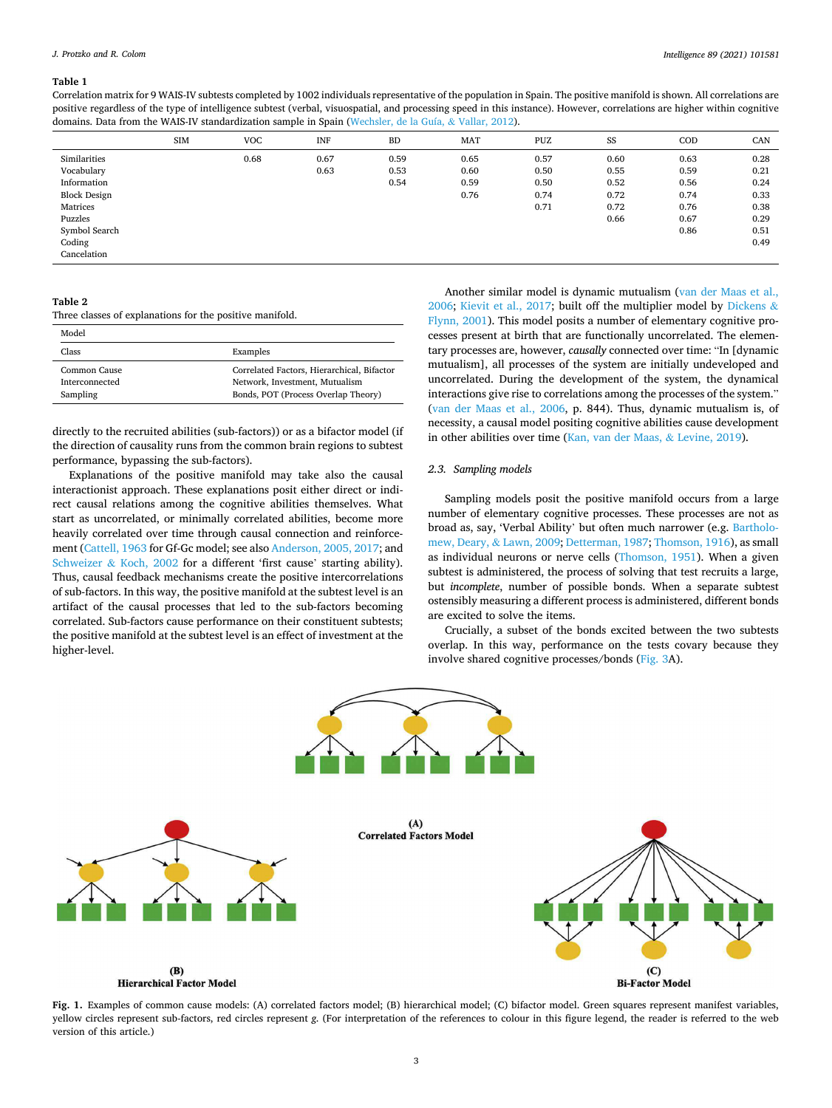#### <span id="page-2-0"></span>**Table 1**

Correlation matrix for 9 WAIS-IV subtests completed by 1002 individuals representative of the population in Spain. The positive manifold is shown. All correlations are positive regardless of the type of intelligence subtest (verbal, visuospatial, and processing speed in this instance). However, correlations are higher within cognitive domains. Data from the WAIS-IV standardization sample in Spain ([Wechsler, de la Guía,](#page-12-0) & Vallar, 2012).

|                     | <b>SIM</b> | <b>VOC</b> | <b>INF</b> | <b>BD</b> | <b>MAT</b> | <b>PUZ</b> | SS   | COD  | CAN  |
|---------------------|------------|------------|------------|-----------|------------|------------|------|------|------|
| Similarities        |            | 0.68       | 0.67       | 0.59      | 0.65       | 0.57       | 0.60 | 0.63 | 0.28 |
| Vocabulary          |            |            | 0.63       | 0.53      | 0.60       | 0.50       | 0.55 | 0.59 | 0.21 |
| Information         |            |            |            | 0.54      | 0.59       | 0.50       | 0.52 | 0.56 | 0.24 |
| <b>Block Design</b> |            |            |            |           | 0.76       | 0.74       | 0.72 | 0.74 | 0.33 |
| Matrices            |            |            |            |           |            | 0.71       | 0.72 | 0.76 | 0.38 |
| Puzzles             |            |            |            |           |            |            | 0.66 | 0.67 | 0.29 |
| Symbol Search       |            |            |            |           |            |            |      | 0.86 | 0.51 |
| Coding              |            |            |            |           |            |            |      |      | 0.49 |
| Cancelation         |            |            |            |           |            |            |      |      |      |

#### **Table 2**

Three classes of explanations for the positive manifold.

| Model                 |                                            |  |  |  |  |
|-----------------------|--------------------------------------------|--|--|--|--|
| Class                 | Examples                                   |  |  |  |  |
| Common Cause          | Correlated Factors, Hierarchical, Bifactor |  |  |  |  |
| <b>Interconnected</b> | Network, Investment, Mutualism             |  |  |  |  |
| Sampling              | Bonds, POT (Process Overlap Theory)        |  |  |  |  |

directly to the recruited abilities (sub-factors)) or as a bifactor model (if the direction of causality runs from the common brain regions to subtest performance, bypassing the sub-factors).

Explanations of the positive manifold may take also the causal interactionist approach. These explanations posit either direct or indirect causal relations among the cognitive abilities themselves. What start as uncorrelated, or minimally correlated abilities, become more heavily correlated over time through causal connection and reinforcement [\(Cattell, 1963](#page-11-0) for Gf-Gc model; see also [Anderson, 2005, 2017;](#page-10-0) and Schweizer & [Koch, 2002](#page-12-0) for a different 'first cause' starting ability). Thus, causal feedback mechanisms create the positive intercorrelations of sub-factors. In this way, the positive manifold at the subtest level is an artifact of the causal processes that led to the sub-factors becoming correlated. Sub-factors cause performance on their constituent subtests; the positive manifold at the subtest level is an effect of investment at the higher-level.

Another similar model is dynamic mutualism [\(van der Maas et al.,](#page-12-0)  [2006;](#page-12-0) [Kievit et al., 2017;](#page-11-0) built off the multiplier model by [Dickens](#page-11-0) & [Flynn, 2001](#page-11-0)). This model posits a number of elementary cognitive processes present at birth that are functionally uncorrelated. The elementary processes are, however, *causally* connected over time: "In [dynamic mutualism], all processes of the system are initially undeveloped and uncorrelated. During the development of the system, the dynamical interactions give rise to correlations among the processes of the system." ([van der Maas et al., 2006,](#page-12-0) p. 844). Thus, dynamic mutualism is, of necessity, a causal model positing cognitive abilities cause development in other abilities over time [\(Kan, van der Maas,](#page-11-0) & Levine, 2019).

## *2.3. Sampling models*

Sampling models posit the positive manifold occurs from a large number of elementary cognitive processes. These processes are not as broad as, say, 'Verbal Ability' but often much narrower (e.g. [Bartholo](#page-11-0)[mew, Deary,](#page-11-0) & Lawn, 2009; [Detterman, 1987](#page-11-0); [Thomson, 1916\)](#page-12-0), as small as individual neurons or nerve cells [\(Thomson, 1951\)](#page-12-0). When a given subtest is administered, the process of solving that test recruits a large, but *incomplete*, number of possible bonds. When a separate subtest ostensibly measuring a different process is administered, different bonds are excited to solve the items.

Crucially, a subset of the bonds excited between the two subtests overlap. In this way, performance on the tests covary because they involve shared cognitive processes/bonds ([Fig. 3A](#page-3-0)).



**Fig. 1.** Examples of common cause models: (A) correlated factors model; (B) hierarchical model; (C) bifactor model. Green squares represent manifest variables, yellow circles represent sub-factors, red circles represent *g*. (For interpretation of the references to colour in this figure legend, the reader is referred to the web version of this article.)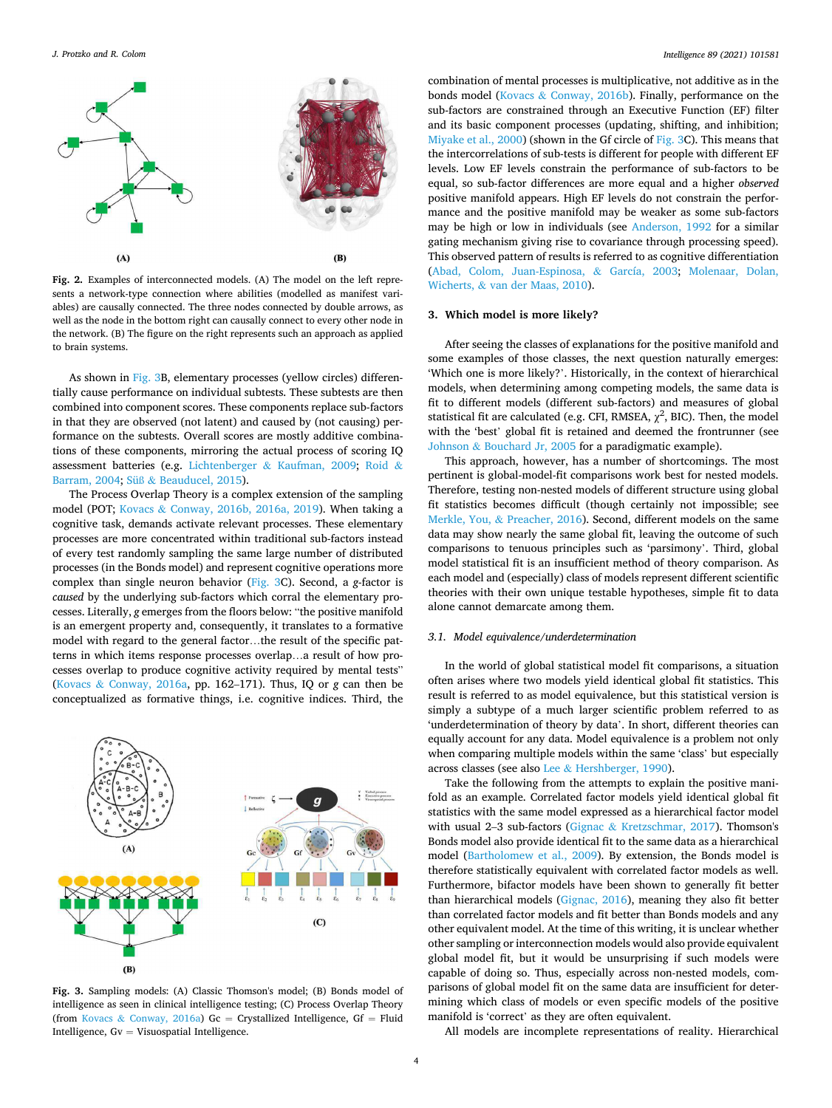<span id="page-3-0"></span>

**Fig. 2.** Examples of interconnected models. (A) The model on the left represents a network-type connection where abilities (modelled as manifest variables) are causally connected. The three nodes connected by double arrows, as well as the node in the bottom right can causally connect to every other node in the network. (B) The figure on the right represents such an approach as applied to brain systems.

As shown in Fig. 3B, elementary processes (yellow circles) differentially cause performance on individual subtests. These subtests are then combined into component scores. These components replace sub-factors in that they are observed (not latent) and caused by (not causing) performance on the subtests. Overall scores are mostly additive combinations of these components, mirroring the actual process of scoring IQ assessment batteries (e.g. Lichtenberger & [Kaufman, 2009](#page-12-0); [Roid](#page-12-0) & [Barram, 2004](#page-12-0); Süß & [Beauducel, 2015](#page-12-0)).

The Process Overlap Theory is a complex extension of the sampling model (POT; Kovacs & [Conway, 2016b, 2016a, 2019](#page-11-0)). When taking a cognitive task, demands activate relevant processes. These elementary processes are more concentrated within traditional sub-factors instead of every test randomly sampling the same large number of distributed processes (in the Bonds model) and represent cognitive operations more complex than single neuron behavior (Fig. 3C). Second, a *g*-factor is *caused* by the underlying sub-factors which corral the elementary processes. Literally, *g* emerges from the floors below: "the positive manifold is an emergent property and, consequently, it translates to a formative model with regard to the general factor…the result of the specific patterns in which items response processes overlap…a result of how processes overlap to produce cognitive activity required by mental tests" (Kovacs & [Conway, 2016a](#page-11-0), pp. 162–171). Thus, IQ or *g* can then be conceptualized as formative things, i.e. cognitive indices. Third, the



**Fig. 3.** Sampling models: (A) Classic Thomson's model; (B) Bonds model of intelligence as seen in clinical intelligence testing; (C) Process Overlap Theory (from Kovacs & [Conway, 2016a\)](#page-11-0)  $Gc =$  Crystallized Intelligence,  $Gf =$  Fluid Intelligence,  $Gv = Visuospatial$  Intelligence.

combination of mental processes is multiplicative, not additive as in the bonds model (Kovacs & [Conway, 2016b](#page-11-0)). Finally, performance on the sub-factors are constrained through an Executive Function (EF) filter and its basic component processes (updating, shifting, and inhibition; [Miyake et al., 2000](#page-12-0)) (shown in the Gf circle of Fig. 3C). This means that the intercorrelations of sub-tests is different for people with different EF levels. Low EF levels constrain the performance of sub-factors to be equal, so sub-factor differences are more equal and a higher *observed*  positive manifold appears. High EF levels do not constrain the performance and the positive manifold may be weaker as some sub-factors may be high or low in individuals (see [Anderson, 1992](#page-10-0) for a similar gating mechanism giving rise to covariance through processing speed). This observed pattern of results is referred to as cognitive differentiation ([Abad, Colom, Juan-Espinosa,](#page-10-0) & García, 2003; [Molenaar, Dolan,](#page-12-0)  Wicherts, & [van der Maas, 2010\)](#page-12-0).

## **3. Which model is more likely?**

After seeing the classes of explanations for the positive manifold and some examples of those classes, the next question naturally emerges: 'Which one is more likely?'. Historically, in the context of hierarchical models, when determining among competing models, the same data is fit to different models (different sub-factors) and measures of global statistical fit are calculated (e.g. CFI, RMSEA,  $\chi^2$ , BIC). Then, the model with the 'best' global fit is retained and deemed the frontrunner (see Johnson & [Bouchard Jr, 2005](#page-11-0) for a paradigmatic example).

This approach, however, has a number of shortcomings. The most pertinent is global-model-fit comparisons work best for nested models. Therefore, testing non-nested models of different structure using global fit statistics becomes difficult (though certainly not impossible; see Merkle, You, & [Preacher, 2016\)](#page-12-0). Second, different models on the same data may show nearly the same global fit, leaving the outcome of such comparisons to tenuous principles such as 'parsimony'. Third, global model statistical fit is an insufficient method of theory comparison. As each model and (especially) class of models represent different scientific theories with their own unique testable hypotheses, simple fit to data alone cannot demarcate among them.

## *3.1. Model equivalence/underdetermination*

In the world of global statistical model fit comparisons, a situation often arises where two models yield identical global fit statistics. This result is referred to as model equivalence, but this statistical version is simply a subtype of a much larger scientific problem referred to as 'underdetermination of theory by data'. In short, different theories can equally account for any data. Model equivalence is a problem not only when comparing multiple models within the same 'class' but especially across classes (see also Lee & [Hershberger, 1990](#page-12-0)).

Take the following from the attempts to explain the positive manifold as an example. Correlated factor models yield identical global fit statistics with the same model expressed as a hierarchical factor model with usual 2–3 sub-factors (Gignac & [Kretzschmar, 2017](#page-11-0)). Thomson's Bonds model also provide identical fit to the same data as a hierarchical model ([Bartholomew et al., 2009\)](#page-11-0). By extension, the Bonds model is therefore statistically equivalent with correlated factor models as well. Furthermore, bifactor models have been shown to generally fit better than hierarchical models ([Gignac, 2016](#page-11-0)), meaning they also fit better than correlated factor models and fit better than Bonds models and any other equivalent model. At the time of this writing, it is unclear whether other sampling or interconnection models would also provide equivalent global model fit, but it would be unsurprising if such models were capable of doing so. Thus, especially across non-nested models, comparisons of global model fit on the same data are insufficient for determining which class of models or even specific models of the positive manifold is 'correct' as they are often equivalent.

All models are incomplete representations of reality. Hierarchical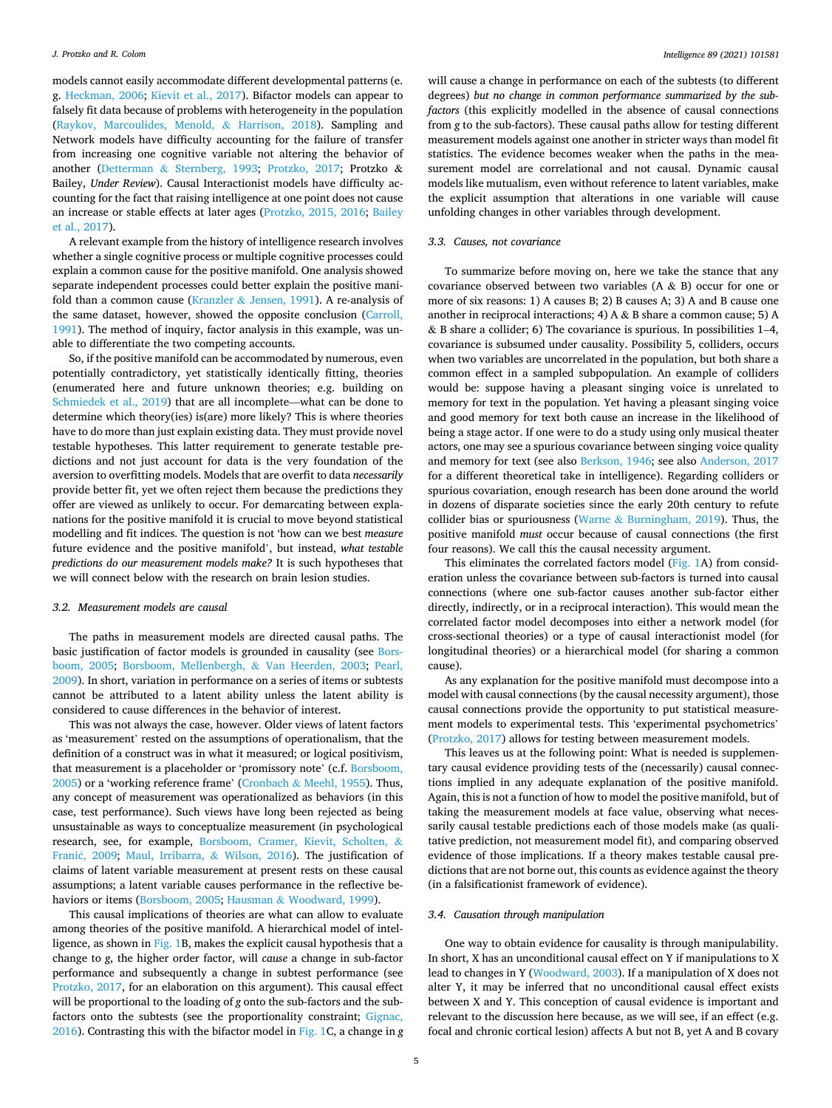models cannot easily accommodate different developmental patterns (e. g. [Heckman, 2006](#page-11-0); [Kievit et al., 2017\)](#page-11-0). Bifactor models can appear to falsely fit data because of problems with heterogeneity in the population ([Raykov, Marcoulides, Menold,](#page-12-0) & Harrison, 2018). Sampling and Network models have difficulty accounting for the failure of transfer from increasing one cognitive variable not altering the behavior of another (Detterman & [Sternberg, 1993;](#page-11-0) [Protzko, 2017;](#page-12-0) Protzko & Bailey, *Under Review*). Causal Interactionist models have difficulty accounting for the fact that raising intelligence at one point does not cause an increase or stable effects at later ages ([Protzko, 2015, 2016;](#page-12-0) [Bailey](#page-11-0)  [et al., 2017\)](#page-11-0).

A relevant example from the history of intelligence research involves whether a single cognitive process or multiple cognitive processes could explain a common cause for the positive manifold. One analysis showed separate independent processes could better explain the positive manifold than a common cause (Kranzler & [Jensen, 1991\)](#page-11-0). A re-analysis of the same dataset, however, showed the opposite conclusion [\(Carroll,](#page-11-0)  [1991\)](#page-11-0). The method of inquiry, factor analysis in this example, was unable to differentiate the two competing accounts.

So, if the positive manifold can be accommodated by numerous, even potentially contradictory, yet statistically identically fitting, theories (enumerated here and future unknown theories; e.g. building on [Schmiedek et al., 2019\)](#page-12-0) that are all incomplete—what can be done to determine which theory(ies) is(are) more likely? This is where theories have to do more than just explain existing data. They must provide novel testable hypotheses. This latter requirement to generate testable predictions and not just account for data is the very foundation of the aversion to overfitting models. Models that are overfit to data *necessarily*  provide better fit, yet we often reject them because the predictions they offer are viewed as unlikely to occur. For demarcating between explanations for the positive manifold it is crucial to move beyond statistical modelling and fit indices. The question is not 'how can we best *measure*  future evidence and the positive manifold', but instead, *what testable predictions do our measurement models make?* It is such hypotheses that we will connect below with the research on brain lesion studies.

#### *3.2. Measurement models are causal*

The paths in measurement models are directed causal paths. The basic justification of factor models is grounded in causality (see [Bors](#page-11-0)[boom, 2005;](#page-11-0) [Borsboom, Mellenbergh,](#page-11-0) & Van Heerden, 2003; [Pearl,](#page-12-0)  [2009\)](#page-12-0). In short, variation in performance on a series of items or subtests cannot be attributed to a latent ability unless the latent ability is considered to cause differences in the behavior of interest.

This was not always the case, however. Older views of latent factors as 'measurement' rested on the assumptions of operationalism, that the definition of a construct was in what it measured; or logical positivism, that measurement is a placeholder or 'promissory note' (c.f. [Borsboom,](#page-11-0)   $2005$ ) or a 'working reference frame' (Cronbach & [Meehl, 1955\)](#page-11-0). Thus, any concept of measurement was operationalized as behaviors (in this case, test performance). Such views have long been rejected as being unsustainable as ways to conceptualize measurement (in psychological research, see, for example, [Borsboom, Cramer, Kievit, Scholten,](#page-11-0) & Franić, 2009; [Maul, Irribarra,](#page-12-0) & Wilson, 2016). The justification of claims of latent variable measurement at present rests on these causal assumptions; a latent variable causes performance in the reflective behaviors or items [\(Borsboom, 2005;](#page-11-0) Hausman & [Woodward, 1999\)](#page-11-0).

This causal implications of theories are what can allow to evaluate among theories of the positive manifold. A hierarchical model of intelligence, as shown in [Fig. 1](#page-2-0)B, makes the explicit causal hypothesis that a change to *g*, the higher order factor, will *cause* a change in sub-factor performance and subsequently a change in subtest performance (see [Protzko, 2017](#page-12-0), for an elaboration on this argument). This causal effect will be proportional to the loading of *g* onto the sub-factors and the subfactors onto the subtests (see the proportionality constraint; [Gignac,](#page-11-0)  [2016\)](#page-11-0). Contrasting this with the bifactor model in [Fig. 1C](#page-2-0), a change in *g* 

will cause a change in performance on each of the subtests (to different degrees) *but no change in common performance summarized by the subfactors* (this explicitly modelled in the absence of causal connections from *g* to the sub-factors). These causal paths allow for testing different measurement models against one another in stricter ways than model fit statistics. The evidence becomes weaker when the paths in the measurement model are correlational and not causal. Dynamic causal models like mutualism, even without reference to latent variables, make the explicit assumption that alterations in one variable will cause unfolding changes in other variables through development.

#### *3.3. Causes, not covariance*

To summarize before moving on, here we take the stance that any covariance observed between two variables (A & B) occur for one or more of six reasons: 1) A causes B; 2) B causes A; 3) A and B cause one another in reciprocal interactions; 4) A & B share a common cause; 5) A & B share a collider; 6) The covariance is spurious. In possibilities 1–4, covariance is subsumed under causality. Possibility 5, colliders, occurs when two variables are uncorrelated in the population, but both share a common effect in a sampled subpopulation. An example of colliders would be: suppose having a pleasant singing voice is unrelated to memory for text in the population. Yet having a pleasant singing voice and good memory for text both cause an increase in the likelihood of being a stage actor. If one were to do a study using only musical theater actors, one may see a spurious covariance between singing voice quality and memory for text (see also [Berkson, 1946;](#page-11-0) see also [Anderson, 2017](#page-10-0)  for a different theoretical take in intelligence). Regarding colliders or spurious covariation, enough research has been done around the world in dozens of disparate societies since the early 20th century to refute collider bias or spuriousness (Warne & [Burningham, 2019\)](#page-12-0). Thus, the positive manifold *must* occur because of causal connections (the first four reasons). We call this the causal necessity argument.

This eliminates the correlated factors model [\(Fig. 1A](#page-2-0)) from consideration unless the covariance between sub-factors is turned into causal connections (where one sub-factor causes another sub-factor either directly, indirectly, or in a reciprocal interaction). This would mean the correlated factor model decomposes into either a network model (for cross-sectional theories) or a type of causal interactionist model (for longitudinal theories) or a hierarchical model (for sharing a common cause).

As any explanation for the positive manifold must decompose into a model with causal connections (by the causal necessity argument), those causal connections provide the opportunity to put statistical measurement models to experimental tests. This 'experimental psychometrics' ([Protzko, 2017](#page-12-0)) allows for testing between measurement models.

This leaves us at the following point: What is needed is supplementary causal evidence providing tests of the (necessarily) causal connections implied in any adequate explanation of the positive manifold. Again, this is not a function of how to model the positive manifold, but of taking the measurement models at face value, observing what necessarily causal testable predictions each of those models make (as qualitative prediction, not measurement model fit), and comparing observed evidence of those implications. If a theory makes testable causal predictions that are not borne out, this counts as evidence against the theory (in a falsificationist framework of evidence).

#### *3.4. Causation through manipulation*

One way to obtain evidence for causality is through manipulability. In short, X has an unconditional causal effect on Y if manipulations to X lead to changes in Y ([Woodward, 2003](#page-12-0)). If a manipulation of X does not alter Y, it may be inferred that no unconditional causal effect exists between X and Y. This conception of causal evidence is important and relevant to the discussion here because, as we will see, if an effect (e.g. focal and chronic cortical lesion) affects A but not B, yet A and B covary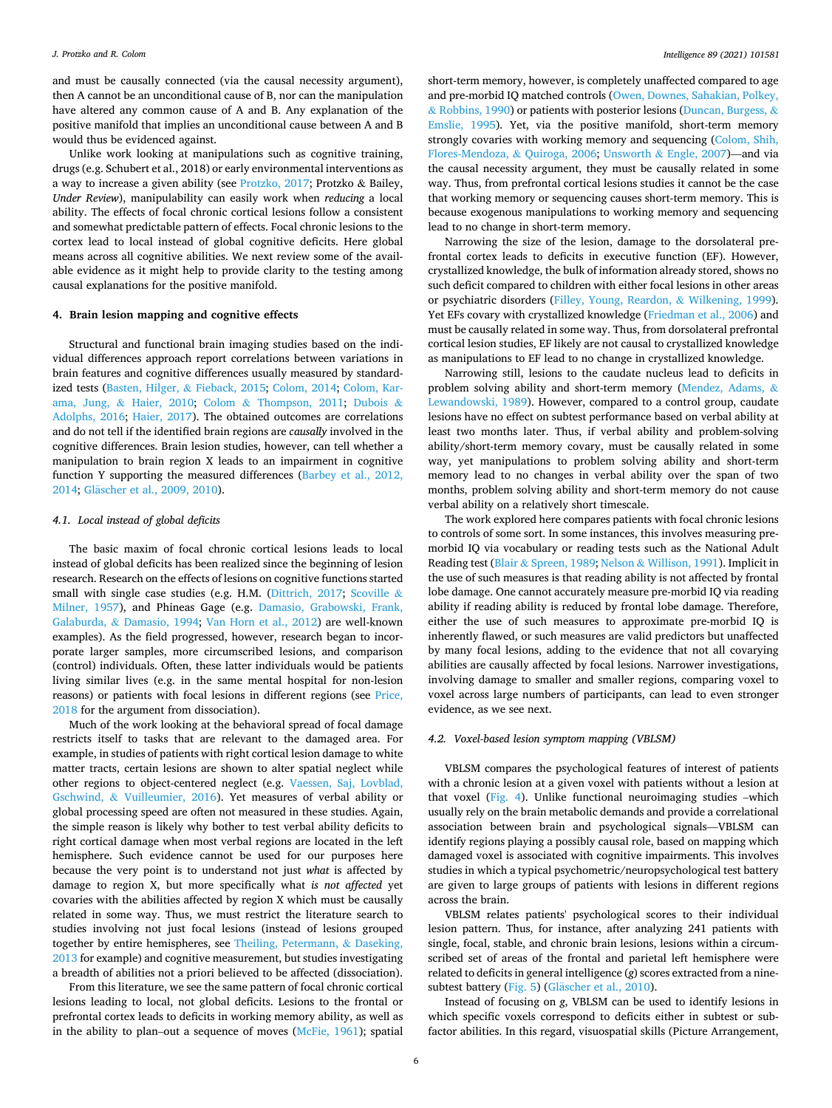<span id="page-5-0"></span>and must be causally connected (via the causal necessity argument), then A cannot be an unconditional cause of B, nor can the manipulation have altered any common cause of A and B. Any explanation of the positive manifold that implies an unconditional cause between A and B would thus be evidenced against.

Unlike work looking at manipulations such as cognitive training, drugs (e.g. Schubert et al., 2018) or early environmental interventions as a way to increase a given ability (see [Protzko, 2017;](#page-12-0) Protzko & Bailey, *Under Review*), manipulability can easily work when *reducing* a local ability. The effects of focal chronic cortical lesions follow a consistent and somewhat predictable pattern of effects. Focal chronic lesions to the cortex lead to local instead of global cognitive deficits. Here global means across all cognitive abilities. We next review some of the available evidence as it might help to provide clarity to the testing among causal explanations for the positive manifold.

## **4. Brain lesion mapping and cognitive effects**

Structural and functional brain imaging studies based on the individual differences approach report correlations between variations in brain features and cognitive differences usually measured by standardized tests [\(Basten, Hilger,](#page-11-0) & Fieback, 2015; [Colom, 2014](#page-11-0); [Colom, Kar](#page-11-0)ama, Jung, & [Haier, 2010;](#page-11-0) Colom & [Thompson, 2011](#page-11-0); [Dubois](#page-11-0) & [Adolphs, 2016;](#page-11-0) [Haier, 2017\)](#page-11-0). The obtained outcomes are correlations and do not tell if the identified brain regions are *causally* involved in the cognitive differences. Brain lesion studies, however, can tell whether a manipulation to brain region X leads to an impairment in cognitive function Y supporting the measured differences [\(Barbey et al., 2012,](#page-11-0)  2014; Gläscher et al., 2009, 2010).

## *4.1. Local instead of global deficits*

The basic maxim of focal chronic cortical lesions leads to local instead of global deficits has been realized since the beginning of lesion research. Research on the effects of lesions on cognitive functions started small with single case studies (e.g. H.M. [\(Dittrich, 2017](#page-11-0); [Scoville](#page-12-0) & [Milner, 1957](#page-12-0)), and Phineas Gage (e.g. [Damasio, Grabowski, Frank,](#page-11-0)  Galaburda, & [Damasio, 1994](#page-11-0); [Van Horn et al., 2012](#page-12-0)) are well-known examples). As the field progressed, however, research began to incorporate larger samples, more circumscribed lesions, and comparison (control) individuals. Often, these latter individuals would be patients living similar lives (e.g. in the same mental hospital for non-lesion reasons) or patients with focal lesions in different regions (see [Price,](#page-12-0)  [2018](#page-12-0) for the argument from dissociation).

Much of the work looking at the behavioral spread of focal damage restricts itself to tasks that are relevant to the damaged area. For example, in studies of patients with right cortical lesion damage to white matter tracts, certain lesions are shown to alter spatial neglect while other regions to object-centered neglect (e.g. [Vaessen, Saj, Lovblad,](#page-12-0)  Gschwind, & [Vuilleumier, 2016](#page-12-0)). Yet measures of verbal ability or global processing speed are often not measured in these studies. Again, the simple reason is likely why bother to test verbal ability deficits to right cortical damage when most verbal regions are located in the left hemisphere. Such evidence cannot be used for our purposes here because the very point is to understand not just *what* is affected by damage to region X, but more specifically what *is not affected* yet covaries with the abilities affected by region X which must be causally related in some way. Thus, we must restrict the literature search to studies involving not just focal lesions (instead of lesions grouped together by entire hemispheres, see [Theiling, Petermann,](#page-12-0) & Daseking, [2013](#page-12-0) for example) and cognitive measurement, but studies investigating a breadth of abilities not a priori believed to be affected (dissociation).

From this literature, we see the same pattern of focal chronic cortical lesions leading to local, not global deficits. Lesions to the frontal or prefrontal cortex leads to deficits in working memory ability, as well as in the ability to plan-out a sequence of moves ([McFie, 1961](#page-12-0)); spatial short-term memory, however, is completely unaffected compared to age and pre-morbid IQ matched controls ([Owen, Downes, Sahakian, Polkey,](#page-12-0)  & [Robbins, 1990](#page-12-0)) or patients with posterior lesions [\(Duncan, Burgess,](#page-11-0) & [Emslie, 1995\)](#page-11-0). Yet, via the positive manifold, short-term memory strongly covaries with working memory and sequencing [\(Colom, Shih,](#page-11-0)  [Flores-Mendoza,](#page-11-0) & Quiroga, 2006; Unsworth & [Engle, 2007](#page-12-0))—and via the causal necessity argument, they must be causally related in some way. Thus, from prefrontal cortical lesions studies it cannot be the case that working memory or sequencing causes short-term memory. This is because exogenous manipulations to working memory and sequencing lead to no change in short-term memory.

Narrowing the size of the lesion, damage to the dorsolateral prefrontal cortex leads to deficits in executive function (EF). However, crystallized knowledge, the bulk of information already stored, shows no such deficit compared to children with either focal lesions in other areas or psychiatric disorders ([Filley, Young, Reardon,](#page-11-0) & Wilkening, 1999). Yet EFs covary with crystallized knowledge [\(Friedman et al., 2006](#page-11-0)) and must be causally related in some way. Thus, from dorsolateral prefrontal cortical lesion studies, EF likely are not causal to crystallized knowledge as manipulations to EF lead to no change in crystallized knowledge.

Narrowing still, lesions to the caudate nucleus lead to deficits in problem solving ability and short-term memory [\(Mendez, Adams,](#page-12-0) & [Lewandowski, 1989](#page-12-0)). However, compared to a control group, caudate lesions have no effect on subtest performance based on verbal ability at least two months later. Thus, if verbal ability and problem-solving ability/short-term memory covary, must be causally related in some way, yet manipulations to problem solving ability and short-term memory lead to no changes in verbal ability over the span of two months, problem solving ability and short-term memory do not cause verbal ability on a relatively short timescale.

The work explored here compares patients with focal chronic lesions to controls of some sort. In some instances, this involves measuring premorbid IQ via vocabulary or reading tests such as the National Adult Reading test (Blair & [Spreen, 1989](#page-11-0); Nelson & [Willison, 1991\)](#page-12-0). Implicit in the use of such measures is that reading ability is not affected by frontal lobe damage. One cannot accurately measure pre-morbid IQ via reading ability if reading ability is reduced by frontal lobe damage. Therefore, either the use of such measures to approximate pre-morbid IQ is inherently flawed, or such measures are valid predictors but unaffected by many focal lesions, adding to the evidence that not all covarying abilities are causally affected by focal lesions. Narrower investigations, involving damage to smaller and smaller regions, comparing voxel to voxel across large numbers of participants, can lead to even stronger evidence, as we see next.

## *4.2. Voxel-based lesion symptom mapping (VBLSM)*

VBLSM compares the psychological features of interest of patients with a chronic lesion at a given voxel with patients without a lesion at that voxel [\(Fig. 4](#page-6-0)). Unlike functional neuroimaging studies –which usually rely on the brain metabolic demands and provide a correlational association between brain and psychological signals—VBLSM can identify regions playing a possibly causal role, based on mapping which damaged voxel is associated with cognitive impairments. This involves studies in which a typical psychometric/neuropsychological test battery are given to large groups of patients with lesions in different regions across the brain.

VBLSM relates patients' psychological scores to their individual lesion pattern. Thus, for instance, after analyzing 241 patients with single, focal, stable, and chronic brain lesions, lesions within a circumscribed set of areas of the frontal and parietal left hemisphere were related to deficits in general intelligence (*g*) scores extracted from a nine-subtest battery [\(Fig. 5](#page-6-0)) (Gläscher et al., 2010).

Instead of focusing on *g*, VBLSM can be used to identify lesions in which specific voxels correspond to deficits either in subtest or subfactor abilities. In this regard, visuospatial skills (Picture Arrangement,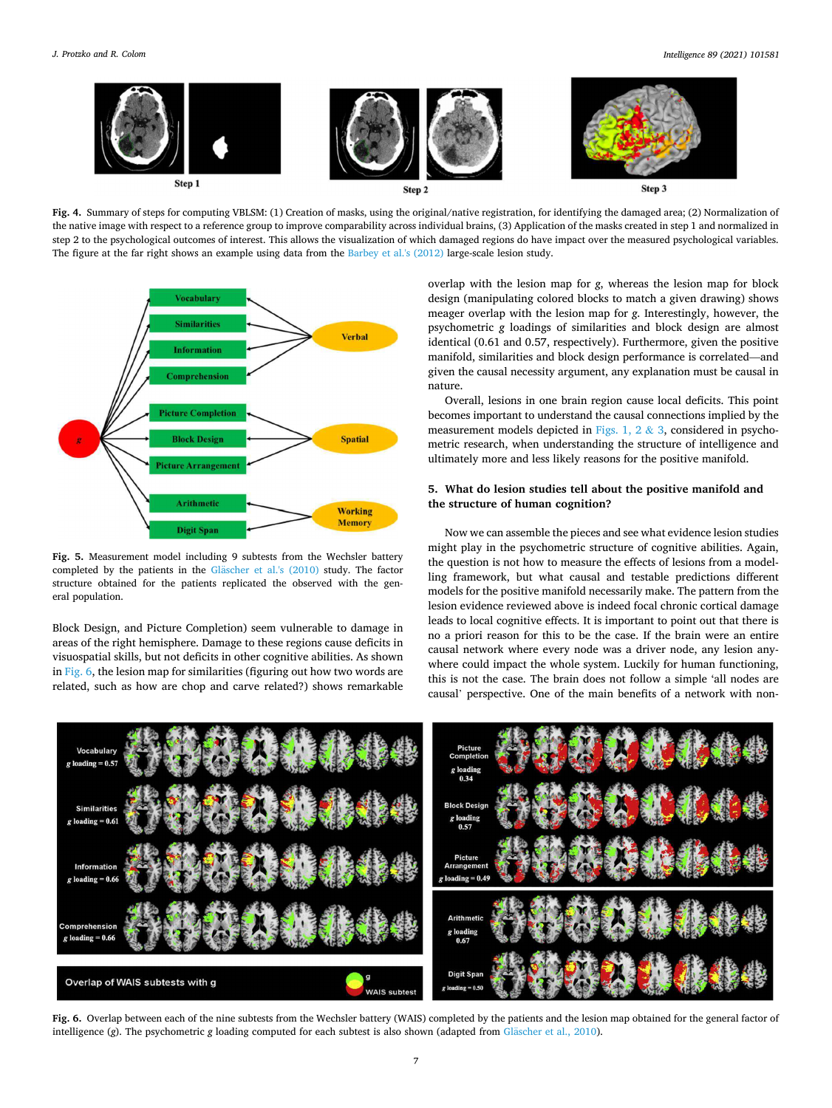<span id="page-6-0"></span>

**Fig. 4.** Summary of steps for computing VBLSM: (1) Creation of masks, using the original/native registration, for identifying the damaged area; (2) Normalization of the native image with respect to a reference group to improve comparability across individual brains, (3) Application of the masks created in step 1 and normalized in step 2 to the psychological outcomes of interest. This allows the visualization of which damaged regions do have impact over the measured psychological variables. The figure at the far right shows an example using data from the [Barbey et al.'s \(2012\)](#page-11-0) large-scale lesion study.



**Fig. 5.** Measurement model including 9 subtests from the Wechsler battery completed by the patients in the Gläscher et al.'s  $(2010)$  study. The factor structure obtained for the patients replicated the observed with the general population.

Block Design, and Picture Completion) seem vulnerable to damage in areas of the right hemisphere. Damage to these regions cause deficits in visuospatial skills, but not deficits in other cognitive abilities. As shown in Fig. 6, the lesion map for similarities (figuring out how two words are related, such as how are chop and carve related?) shows remarkable overlap with the lesion map for *g*, whereas the lesion map for block design (manipulating colored blocks to match a given drawing) shows meager overlap with the lesion map for *g*. Interestingly, however, the psychometric *g* loadings of similarities and block design are almost identical (0.61 and 0.57, respectively). Furthermore, given the positive manifold, similarities and block design performance is correlated—and given the causal necessity argument, any explanation must be causal in nature.

Overall, lesions in one brain region cause local deficits. This point becomes important to understand the causal connections implied by the measurement models depicted in [Figs. 1, 2](#page-2-0)  $\&$  3, considered in psychometric research, when understanding the structure of intelligence and ultimately more and less likely reasons for the positive manifold.

# **5. What do lesion studies tell about the positive manifold and the structure of human cognition?**

Now we can assemble the pieces and see what evidence lesion studies might play in the psychometric structure of cognitive abilities. Again, the question is not how to measure the effects of lesions from a modelling framework, but what causal and testable predictions different models for the positive manifold necessarily make. The pattern from the lesion evidence reviewed above is indeed focal chronic cortical damage leads to local cognitive effects. It is important to point out that there is no a priori reason for this to be the case. If the brain were an entire causal network where every node was a driver node, any lesion anywhere could impact the whole system. Luckily for human functioning, this is not the case. The brain does not follow a simple 'all nodes are causal' perspective. One of the main benefits of a network with non-



**Fig. 6.** Overlap between each of the nine subtests from the Wechsler battery (WAIS) completed by the patients and the lesion map obtained for the general factor of intelligence (g). The psychometric *g* loading computed for each subtest is also shown (adapted from Gläscher et al., 2010).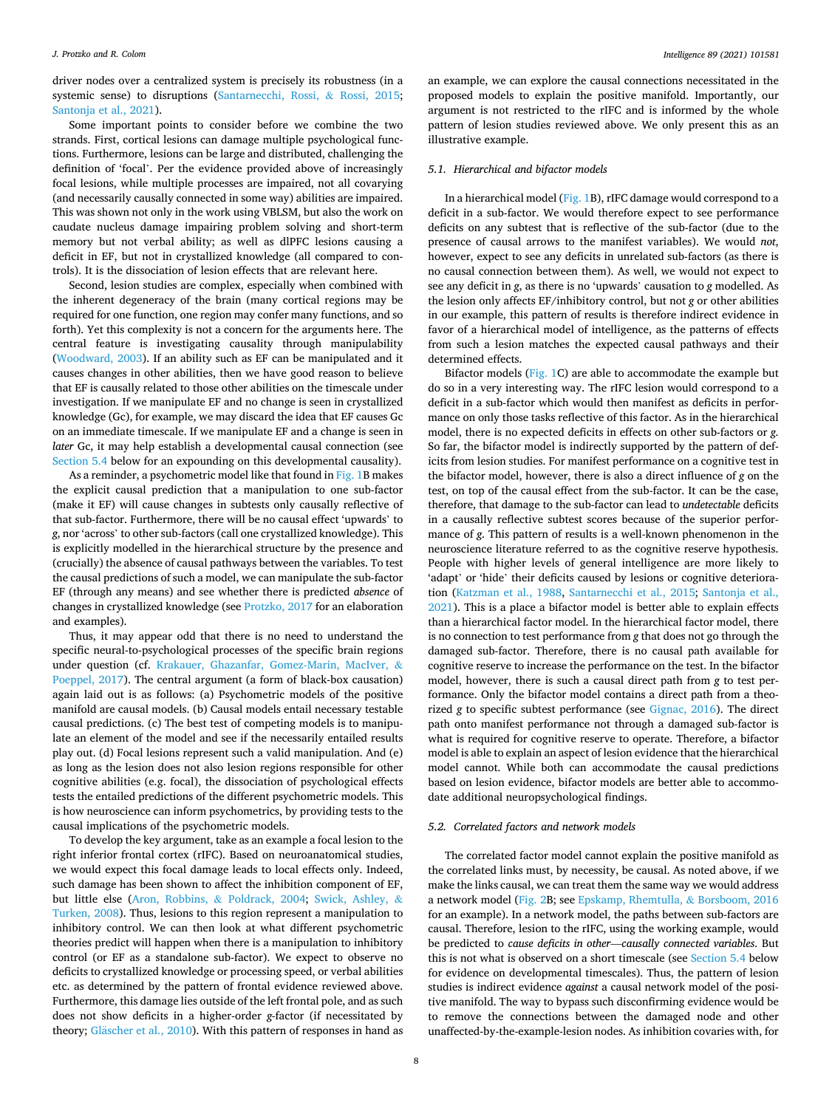driver nodes over a centralized system is precisely its robustness (in a systemic sense) to disruptions [\(Santarnecchi, Rossi,](#page-12-0) & Rossi, 2015; [Santonja et al., 2021\)](#page-12-0).

Some important points to consider before we combine the two strands. First, cortical lesions can damage multiple psychological functions. Furthermore, lesions can be large and distributed, challenging the definition of 'focal'. Per the evidence provided above of increasingly focal lesions, while multiple processes are impaired, not all covarying (and necessarily causally connected in some way) abilities are impaired. This was shown not only in the work using VBLSM, but also the work on caudate nucleus damage impairing problem solving and short-term memory but not verbal ability; as well as dlPFC lesions causing a deficit in EF, but not in crystallized knowledge (all compared to controls). It is the dissociation of lesion effects that are relevant here.

Second, lesion studies are complex, especially when combined with the inherent degeneracy of the brain (many cortical regions may be required for one function, one region may confer many functions, and so forth). Yet this complexity is not a concern for the arguments here. The central feature is investigating causality through manipulability ([Woodward, 2003\)](#page-12-0). If an ability such as EF can be manipulated and it causes changes in other abilities, then we have good reason to believe that EF is causally related to those other abilities on the timescale under investigation. If we manipulate EF and no change is seen in crystallized knowledge (Gc), for example, we may discard the idea that EF causes Gc on an immediate timescale. If we manipulate EF and a change is seen in *later* Gc, it may help establish a developmental causal connection (see [Section 5.4](#page-8-0) below for an expounding on this developmental causality).

As a reminder, a psychometric model like that found in [Fig. 1](#page-2-0)B makes the explicit causal prediction that a manipulation to one sub-factor (make it EF) will cause changes in subtests only causally reflective of that sub-factor. Furthermore, there will be no causal effect 'upwards' to *g*, nor 'across' to other sub-factors (call one crystallized knowledge). This is explicitly modelled in the hierarchical structure by the presence and (crucially) the absence of causal pathways between the variables. To test the causal predictions of such a model, we can manipulate the sub-factor EF (through any means) and see whether there is predicted *absence* of changes in crystallized knowledge (see [Protzko, 2017](#page-12-0) for an elaboration and examples).

Thus, it may appear odd that there is no need to understand the specific neural-to-psychological processes of the specific brain regions under question (cf. [Krakauer, Ghazanfar, Gomez-Marin, MacIver,](#page-11-0) & [Poeppel, 2017\)](#page-11-0). The central argument (a form of black-box causation) again laid out is as follows: (a) Psychometric models of the positive manifold are causal models. (b) Causal models entail necessary testable causal predictions. (c) The best test of competing models is to manipulate an element of the model and see if the necessarily entailed results play out. (d) Focal lesions represent such a valid manipulation. And (e) as long as the lesion does not also lesion regions responsible for other cognitive abilities (e.g. focal), the dissociation of psychological effects tests the entailed predictions of the different psychometric models. This is how neuroscience can inform psychometrics, by providing tests to the causal implications of the psychometric models.

To develop the key argument, take as an example a focal lesion to the right inferior frontal cortex (rIFC). Based on neuroanatomical studies, we would expect this focal damage leads to local effects only. Indeed, such damage has been shown to affect the inhibition component of EF, but little else ([Aron, Robbins,](#page-10-0) & Poldrack, 2004; [Swick, Ashley,](#page-12-0) & [Turken, 2008](#page-12-0)). Thus, lesions to this region represent a manipulation to inhibitory control. We can then look at what different psychometric theories predict will happen when there is a manipulation to inhibitory control (or EF as a standalone sub-factor). We expect to observe no deficits to crystallized knowledge or processing speed, or verbal abilities etc. as determined by the pattern of frontal evidence reviewed above. Furthermore, this damage lies outside of the left frontal pole, and as such does not show deficits in a higher-order *g*-factor (if necessitated by theory; Gläscher et al., 2010). With this pattern of responses in hand as

an example, we can explore the causal connections necessitated in the proposed models to explain the positive manifold. Importantly, our argument is not restricted to the rIFC and is informed by the whole pattern of lesion studies reviewed above. We only present this as an illustrative example.

#### *5.1. Hierarchical and bifactor models*

In a hierarchical model [\(Fig. 1B](#page-2-0)), rIFC damage would correspond to a deficit in a sub-factor. We would therefore expect to see performance deficits on any subtest that is reflective of the sub-factor (due to the presence of causal arrows to the manifest variables). We would *not*, however, expect to see any deficits in unrelated sub-factors (as there is no causal connection between them). As well, we would not expect to see any deficit in *g*, as there is no 'upwards' causation to *g* modelled. As the lesion only affects EF/inhibitory control, but not *g* or other abilities in our example, this pattern of results is therefore indirect evidence in favor of a hierarchical model of intelligence, as the patterns of effects from such a lesion matches the expected causal pathways and their determined effects.

Bifactor models [\(Fig. 1](#page-2-0)C) are able to accommodate the example but do so in a very interesting way. The rIFC lesion would correspond to a deficit in a sub-factor which would then manifest as deficits in performance on only those tasks reflective of this factor. As in the hierarchical model, there is no expected deficits in effects on other sub-factors or *g*. So far, the bifactor model is indirectly supported by the pattern of deficits from lesion studies. For manifest performance on a cognitive test in the bifactor model, however, there is also a direct influence of *g* on the test, on top of the causal effect from the sub-factor. It can be the case, therefore, that damage to the sub-factor can lead to *undetectable* deficits in a causally reflective subtest scores because of the superior performance of *g*. This pattern of results is a well-known phenomenon in the neuroscience literature referred to as the cognitive reserve hypothesis. People with higher levels of general intelligence are more likely to 'adapt' or 'hide' their deficits caused by lesions or cognitive deterioration ([Katzman et al., 1988](#page-11-0), [Santarnecchi et al., 2015;](#page-12-0) [Santonja et al.,](#page-12-0)  [2021\)](#page-12-0). This is a place a bifactor model is better able to explain effects than a hierarchical factor model. In the hierarchical factor model, there is no connection to test performance from *g* that does not go through the damaged sub-factor. Therefore, there is no causal path available for cognitive reserve to increase the performance on the test. In the bifactor model, however, there is such a causal direct path from *g* to test performance. Only the bifactor model contains a direct path from a theorized *g* to specific subtest performance (see [Gignac, 2016\)](#page-11-0). The direct path onto manifest performance not through a damaged sub-factor is what is required for cognitive reserve to operate. Therefore, a bifactor model is able to explain an aspect of lesion evidence that the hierarchical model cannot. While both can accommodate the causal predictions based on lesion evidence, bifactor models are better able to accommodate additional neuropsychological findings.

## *5.2. Correlated factors and network models*

The correlated factor model cannot explain the positive manifold as the correlated links must, by necessity, be causal. As noted above, if we make the links causal, we can treat them the same way we would address a network model ([Fig. 2](#page-3-0)B; see [Epskamp, Rhemtulla,](#page-11-0) & Borsboom, 2016 for an example). In a network model, the paths between sub-factors are causal. Therefore, lesion to the rIFC, using the working example, would be predicted to *cause deficits in other*—*causally connected variables*. But this is not what is observed on a short timescale (see [Section 5.4](#page-8-0) below for evidence on developmental timescales). Thus, the pattern of lesion studies is indirect evidence *against* a causal network model of the positive manifold. The way to bypass such disconfirming evidence would be to remove the connections between the damaged node and other unaffected-by-the-example-lesion nodes. As inhibition covaries with, for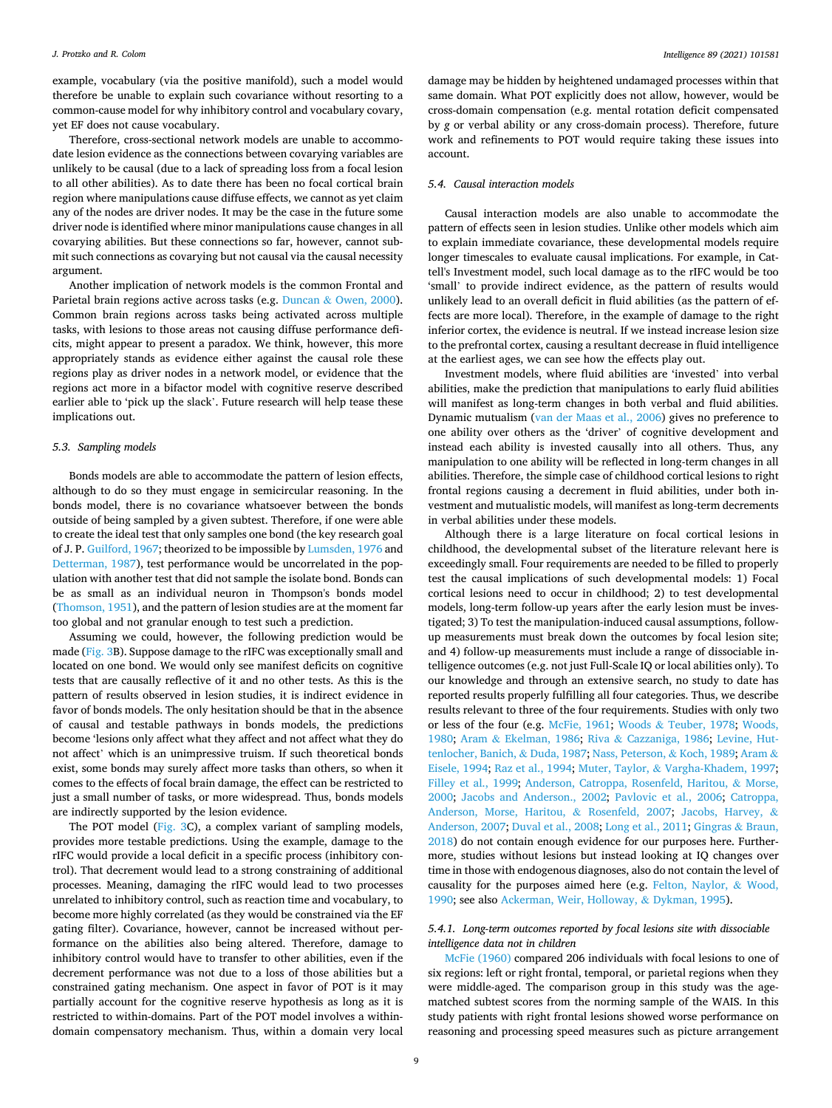<span id="page-8-0"></span>example, vocabulary (via the positive manifold), such a model would therefore be unable to explain such covariance without resorting to a common-cause model for why inhibitory control and vocabulary covary, yet EF does not cause vocabulary.

Therefore, cross-sectional network models are unable to accommodate lesion evidence as the connections between covarying variables are unlikely to be causal (due to a lack of spreading loss from a focal lesion to all other abilities). As to date there has been no focal cortical brain region where manipulations cause diffuse effects, we cannot as yet claim any of the nodes are driver nodes. It may be the case in the future some driver node is identified where minor manipulations cause changes in all covarying abilities. But these connections so far, however, cannot submit such connections as covarying but not causal via the causal necessity argument.

Another implication of network models is the common Frontal and Parietal brain regions active across tasks (e.g. Duncan & [Owen, 2000](#page-11-0)). Common brain regions across tasks being activated across multiple tasks, with lesions to those areas not causing diffuse performance deficits, might appear to present a paradox. We think, however, this more appropriately stands as evidence either against the causal role these regions play as driver nodes in a network model, or evidence that the regions act more in a bifactor model with cognitive reserve described earlier able to 'pick up the slack'. Future research will help tease these implications out.

## *5.3. Sampling models*

Bonds models are able to accommodate the pattern of lesion effects, although to do so they must engage in semicircular reasoning. In the bonds model, there is no covariance whatsoever between the bonds outside of being sampled by a given subtest. Therefore, if one were able to create the ideal test that only samples one bond (the key research goal of J. P. [Guilford, 1967;](#page-11-0) theorized to be impossible by [Lumsden, 1976](#page-12-0) and [Detterman, 1987\)](#page-11-0), test performance would be uncorrelated in the population with another test that did not sample the isolate bond. Bonds can be as small as an individual neuron in Thompson's bonds model ([Thomson, 1951\)](#page-12-0), and the pattern of lesion studies are at the moment far too global and not granular enough to test such a prediction.

Assuming we could, however, the following prediction would be made ([Fig. 3B](#page-3-0)). Suppose damage to the rIFC was exceptionally small and located on one bond. We would only see manifest deficits on cognitive tests that are causally reflective of it and no other tests. As this is the pattern of results observed in lesion studies, it is indirect evidence in favor of bonds models. The only hesitation should be that in the absence of causal and testable pathways in bonds models, the predictions become 'lesions only affect what they affect and not affect what they do not affect' which is an unimpressive truism. If such theoretical bonds exist, some bonds may surely affect more tasks than others, so when it comes to the effects of focal brain damage, the effect can be restricted to just a small number of tasks, or more widespread. Thus, bonds models are indirectly supported by the lesion evidence.

The POT model ([Fig. 3C](#page-3-0)), a complex variant of sampling models, provides more testable predictions. Using the example, damage to the rIFC would provide a local deficit in a specific process (inhibitory control). That decrement would lead to a strong constraining of additional processes. Meaning, damaging the rIFC would lead to two processes unrelated to inhibitory control, such as reaction time and vocabulary, to become more highly correlated (as they would be constrained via the EF gating filter). Covariance, however, cannot be increased without performance on the abilities also being altered. Therefore, damage to inhibitory control would have to transfer to other abilities, even if the decrement performance was not due to a loss of those abilities but a constrained gating mechanism. One aspect in favor of POT is it may partially account for the cognitive reserve hypothesis as long as it is restricted to within-domains. Part of the POT model involves a withindomain compensatory mechanism. Thus, within a domain very local

damage may be hidden by heightened undamaged processes within that same domain. What POT explicitly does not allow, however, would be cross-domain compensation (e.g. mental rotation deficit compensated by *g* or verbal ability or any cross-domain process). Therefore, future work and refinements to POT would require taking these issues into account.

## *5.4. Causal interaction models*

Causal interaction models are also unable to accommodate the pattern of effects seen in lesion studies. Unlike other models which aim to explain immediate covariance, these developmental models require longer timescales to evaluate causal implications. For example, in Cattell's Investment model, such local damage as to the rIFC would be too 'small' to provide indirect evidence, as the pattern of results would unlikely lead to an overall deficit in fluid abilities (as the pattern of effects are more local). Therefore, in the example of damage to the right inferior cortex, the evidence is neutral. If we instead increase lesion size to the prefrontal cortex, causing a resultant decrease in fluid intelligence at the earliest ages, we can see how the effects play out.

Investment models, where fluid abilities are 'invested' into verbal abilities, make the prediction that manipulations to early fluid abilities will manifest as long-term changes in both verbal and fluid abilities. Dynamic mutualism [\(van der Maas et al., 2006\)](#page-12-0) gives no preference to one ability over others as the 'driver' of cognitive development and instead each ability is invested causally into all others. Thus, any manipulation to one ability will be reflected in long-term changes in all abilities. Therefore, the simple case of childhood cortical lesions to right frontal regions causing a decrement in fluid abilities, under both investment and mutualistic models, will manifest as long-term decrements in verbal abilities under these models.

Although there is a large literature on focal cortical lesions in childhood, the developmental subset of the literature relevant here is exceedingly small. Four requirements are needed to be filled to properly test the causal implications of such developmental models: 1) Focal cortical lesions need to occur in childhood; 2) to test developmental models, long-term follow-up years after the early lesion must be investigated; 3) To test the manipulation-induced causal assumptions, followup measurements must break down the outcomes by focal lesion site; and 4) follow-up measurements must include a range of dissociable intelligence outcomes (e.g. not just Full-Scale IQ or local abilities only). To our knowledge and through an extensive search, no study to date has reported results properly fulfilling all four categories. Thus, we describe results relevant to three of the four requirements. Studies with only two or less of the four (e.g. [McFie, 1961](#page-12-0); Woods & [Teuber, 1978](#page-12-0); [Woods,](#page-12-0)  [1980;](#page-12-0) Aram & [Ekelman, 1986;](#page-10-0) Riva & [Cazzaniga, 1986](#page-12-0); [Levine, Hut](#page-12-0)[tenlocher, Banich,](#page-12-0) & Duda, 1987; [Nass, Peterson,](#page-12-0) & Koch, 1989; [Aram](#page-10-0) & [Eisele, 1994;](#page-10-0) [Raz et al., 1994;](#page-12-0) Muter, Taylor, & [Vargha-Khadem, 1997](#page-12-0); [Filley et al., 1999;](#page-11-0) [Anderson, Catroppa, Rosenfeld, Haritou,](#page-10-0) & Morse, [2000;](#page-10-0) [Jacobs and Anderson., 2002](#page-11-0); [Pavlovic et al., 2006](#page-12-0); [Catroppa,](#page-11-0)  [Anderson, Morse, Haritou,](#page-11-0) & Rosenfeld, 2007; [Jacobs, Harvey,](#page-11-0) & [Anderson, 2007](#page-11-0); [Duval et al., 2008](#page-11-0); [Long et al., 2011;](#page-12-0) [Gingras](#page-11-0) & Braun, [2018\)](#page-11-0) do not contain enough evidence for our purposes here. Furthermore, studies without lesions but instead looking at IQ changes over time in those with endogenous diagnoses, also do not contain the level of causality for the purposes aimed here (e.g. [Felton, Naylor,](#page-11-0) & Wood, [1990;](#page-11-0) see also [Ackerman, Weir, Holloway,](#page-10-0) & Dykman, 1995).

## *5.4.1. Long-term outcomes reported by focal lesions site with dissociable intelligence data not in children*

[McFie \(1960\)](#page-12-0) compared 206 individuals with focal lesions to one of six regions: left or right frontal, temporal, or parietal regions when they were middle-aged. The comparison group in this study was the agematched subtest scores from the norming sample of the WAIS. In this study patients with right frontal lesions showed worse performance on reasoning and processing speed measures such as picture arrangement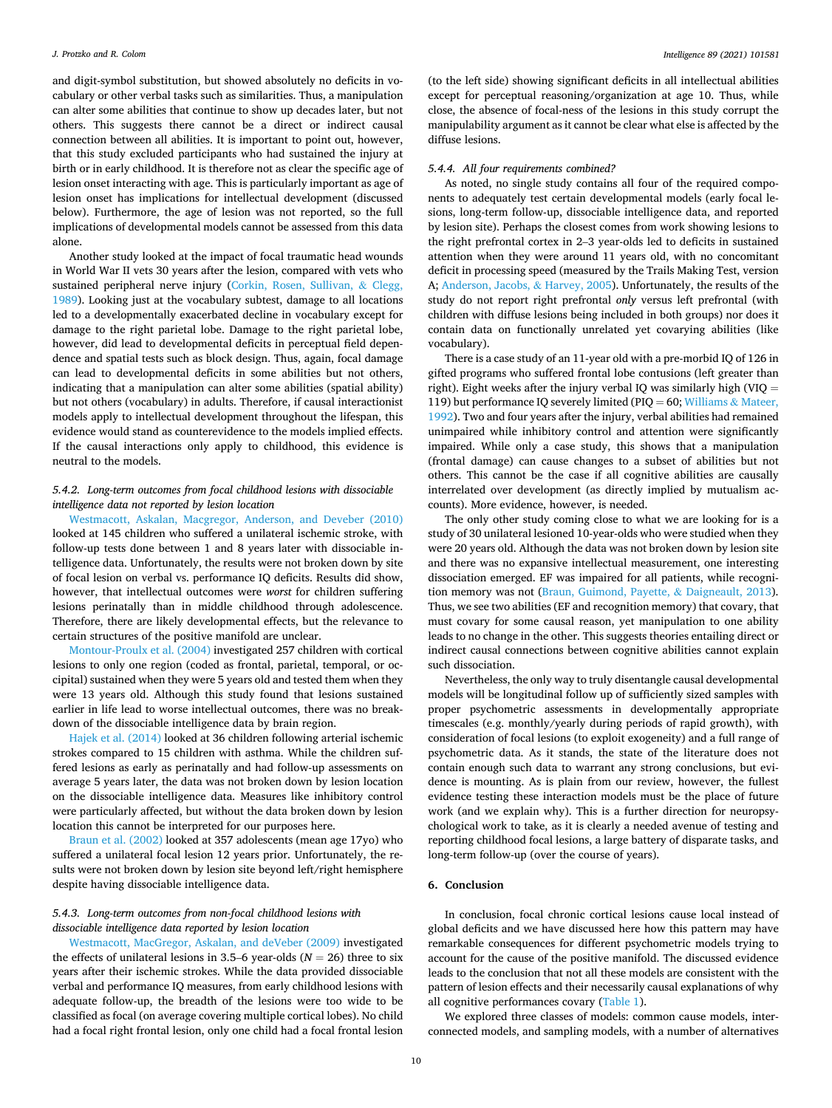<span id="page-9-0"></span>and digit-symbol substitution, but showed absolutely no deficits in vocabulary or other verbal tasks such as similarities. Thus, a manipulation can alter some abilities that continue to show up decades later, but not others. This suggests there cannot be a direct or indirect causal connection between all abilities. It is important to point out, however, that this study excluded participants who had sustained the injury at birth or in early childhood. It is therefore not as clear the specific age of lesion onset interacting with age. This is particularly important as age of lesion onset has implications for intellectual development (discussed below). Furthermore, the age of lesion was not reported, so the full implications of developmental models cannot be assessed from this data alone.

Another study looked at the impact of focal traumatic head wounds in World War II vets 30 years after the lesion, compared with vets who sustained peripheral nerve injury ([Corkin, Rosen, Sullivan,](#page-11-0) & Clegg, [1989\)](#page-11-0). Looking just at the vocabulary subtest, damage to all locations led to a developmentally exacerbated decline in vocabulary except for damage to the right parietal lobe. Damage to the right parietal lobe, however, did lead to developmental deficits in perceptual field dependence and spatial tests such as block design. Thus, again, focal damage can lead to developmental deficits in some abilities but not others, indicating that a manipulation can alter some abilities (spatial ability) but not others (vocabulary) in adults. Therefore, if causal interactionist models apply to intellectual development throughout the lifespan, this evidence would stand as counterevidence to the models implied effects. If the causal interactions only apply to childhood, this evidence is neutral to the models.

# *5.4.2. Long-term outcomes from focal childhood lesions with dissociable intelligence data not reported by lesion location*

[Westmacott, Askalan, Macgregor, Anderson, and Deveber \(2010\)](#page-12-0)  looked at 145 children who suffered a unilateral ischemic stroke, with follow-up tests done between 1 and 8 years later with dissociable intelligence data. Unfortunately, the results were not broken down by site of focal lesion on verbal vs. performance IQ deficits. Results did show, however, that intellectual outcomes were *worst* for children suffering lesions perinatally than in middle childhood through adolescence. Therefore, there are likely developmental effects, but the relevance to certain structures of the positive manifold are unclear.

[Montour-Proulx et al. \(2004\)](#page-12-0) investigated 257 children with cortical lesions to only one region (coded as frontal, parietal, temporal, or occipital) sustained when they were 5 years old and tested them when they were 13 years old. Although this study found that lesions sustained earlier in life lead to worse intellectual outcomes, there was no breakdown of the dissociable intelligence data by brain region.

[Hajek et al. \(2014\)](#page-11-0) looked at 36 children following arterial ischemic strokes compared to 15 children with asthma. While the children suffered lesions as early as perinatally and had follow-up assessments on average 5 years later, the data was not broken down by lesion location on the dissociable intelligence data. Measures like inhibitory control were particularly affected, but without the data broken down by lesion location this cannot be interpreted for our purposes here.

[Braun et al. \(2002\)](#page-11-0) looked at 357 adolescents (mean age 17yo) who suffered a unilateral focal lesion 12 years prior. Unfortunately, the results were not broken down by lesion site beyond left/right hemisphere despite having dissociable intelligence data.

## *5.4.3. Long-term outcomes from non-focal childhood lesions with dissociable intelligence data reported by lesion location*

[Westmacott, MacGregor, Askalan, and deVeber \(2009\)](#page-12-0) investigated the effects of unilateral lesions in 3.5–6 year-olds ( $N = 26$ ) three to six years after their ischemic strokes. While the data provided dissociable verbal and performance IQ measures, from early childhood lesions with adequate follow-up, the breadth of the lesions were too wide to be classified as focal (on average covering multiple cortical lobes). No child had a focal right frontal lesion, only one child had a focal frontal lesion

(to the left side) showing significant deficits in all intellectual abilities except for perceptual reasoning/organization at age 10. Thus, while close, the absence of focal-ness of the lesions in this study corrupt the manipulability argument as it cannot be clear what else is affected by the diffuse lesions.

#### *5.4.4. All four requirements combined?*

As noted, no single study contains all four of the required components to adequately test certain developmental models (early focal lesions, long-term follow-up, dissociable intelligence data, and reported by lesion site). Perhaps the closest comes from work showing lesions to the right prefrontal cortex in 2–3 year-olds led to deficits in sustained attention when they were around 11 years old, with no concomitant deficit in processing speed (measured by the Trails Making Test, version A; [Anderson, Jacobs,](#page-10-0) & Harvey, 2005). Unfortunately, the results of the study do not report right prefrontal *only* versus left prefrontal (with children with diffuse lesions being included in both groups) nor does it contain data on functionally unrelated yet covarying abilities (like vocabulary).

There is a case study of an 11-year old with a pre-morbid IQ of 126 in gifted programs who suffered frontal lobe contusions (left greater than right). Eight weeks after the injury verbal IQ was similarly high (VIQ  $=$ 119) but performance IQ severely limited (PIQ = 60; [Williams](#page-12-0) & Mateer, [1992\)](#page-12-0). Two and four years after the injury, verbal abilities had remained unimpaired while inhibitory control and attention were significantly impaired. While only a case study, this shows that a manipulation (frontal damage) can cause changes to a subset of abilities but not others. This cannot be the case if all cognitive abilities are causally interrelated over development (as directly implied by mutualism accounts). More evidence, however, is needed.

The only other study coming close to what we are looking for is a study of 30 unilateral lesioned 10-year-olds who were studied when they were 20 years old. Although the data was not broken down by lesion site and there was no expansive intellectual measurement, one interesting dissociation emerged. EF was impaired for all patients, while recognition memory was not [\(Braun, Guimond, Payette,](#page-11-0) & Daigneault, 2013). Thus, we see two abilities (EF and recognition memory) that covary, that must covary for some causal reason, yet manipulation to one ability leads to no change in the other. This suggests theories entailing direct or indirect causal connections between cognitive abilities cannot explain such dissociation.

Nevertheless, the only way to truly disentangle causal developmental models will be longitudinal follow up of sufficiently sized samples with proper psychometric assessments in developmentally appropriate timescales (e.g. monthly/yearly during periods of rapid growth), with consideration of focal lesions (to exploit exogeneity) and a full range of psychometric data. As it stands, the state of the literature does not contain enough such data to warrant any strong conclusions, but evidence is mounting. As is plain from our review, however, the fullest evidence testing these interaction models must be the place of future work (and we explain why). This is a further direction for neuropsychological work to take, as it is clearly a needed avenue of testing and reporting childhood focal lesions, a large battery of disparate tasks, and long-term follow-up (over the course of years).

# **6. Conclusion**

In conclusion, focal chronic cortical lesions cause local instead of global deficits and we have discussed here how this pattern may have remarkable consequences for different psychometric models trying to account for the cause of the positive manifold. The discussed evidence leads to the conclusion that not all these models are consistent with the pattern of lesion effects and their necessarily causal explanations of why all cognitive performances covary ([Table 1](#page-2-0)).

We explored three classes of models: common cause models, interconnected models, and sampling models, with a number of alternatives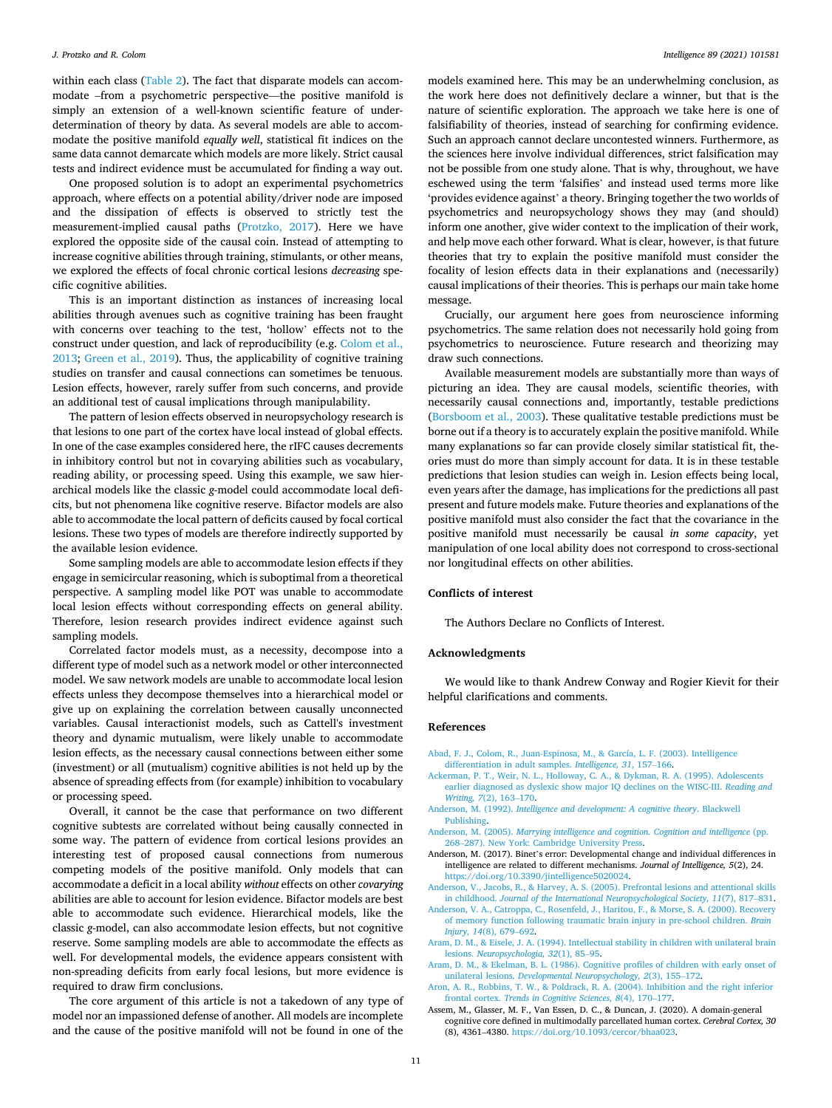<span id="page-10-0"></span>within each class ([Table 2](#page-2-0)). The fact that disparate models can accommodate –from a psychometric perspective—the positive manifold is simply an extension of a well-known scientific feature of underdetermination of theory by data. As several models are able to accommodate the positive manifold *equally well*, statistical fit indices on the same data cannot demarcate which models are more likely. Strict causal tests and indirect evidence must be accumulated for finding a way out.

One proposed solution is to adopt an experimental psychometrics approach, where effects on a potential ability/driver node are imposed and the dissipation of effects is observed to strictly test the measurement-implied causal paths ([Protzko, 2017\)](#page-12-0). Here we have explored the opposite side of the causal coin. Instead of attempting to increase cognitive abilities through training, stimulants, or other means, we explored the effects of focal chronic cortical lesions *decreasing* specific cognitive abilities.

This is an important distinction as instances of increasing local abilities through avenues such as cognitive training has been fraught with concerns over teaching to the test, 'hollow' effects not to the construct under question, and lack of reproducibility (e.g. [Colom et al.,](#page-11-0)  [2013;](#page-11-0) [Green et al., 2019](#page-11-0)). Thus, the applicability of cognitive training studies on transfer and causal connections can sometimes be tenuous. Lesion effects, however, rarely suffer from such concerns, and provide an additional test of causal implications through manipulability.

The pattern of lesion effects observed in neuropsychology research is that lesions to one part of the cortex have local instead of global effects. In one of the case examples considered here, the rIFC causes decrements in inhibitory control but not in covarying abilities such as vocabulary, reading ability, or processing speed. Using this example, we saw hierarchical models like the classic *g*-model could accommodate local deficits, but not phenomena like cognitive reserve. Bifactor models are also able to accommodate the local pattern of deficits caused by focal cortical lesions. These two types of models are therefore indirectly supported by the available lesion evidence.

Some sampling models are able to accommodate lesion effects if they engage in semicircular reasoning, which is suboptimal from a theoretical perspective. A sampling model like POT was unable to accommodate local lesion effects without corresponding effects on *g*eneral ability. Therefore, lesion research provides indirect evidence against such sampling models.

Correlated factor models must, as a necessity, decompose into a different type of model such as a network model or other interconnected model. We saw network models are unable to accommodate local lesion effects unless they decompose themselves into a hierarchical model or give up on explaining the correlation between causally unconnected variables. Causal interactionist models, such as Cattell's investment theory and dynamic mutualism, were likely unable to accommodate lesion effects, as the necessary causal connections between either some (investment) or all (mutualism) cognitive abilities is not held up by the absence of spreading effects from (for example) inhibition to vocabulary or processing speed.

Overall, it cannot be the case that performance on two different cognitive subtests are correlated without being causally connected in some way. The pattern of evidence from cortical lesions provides an interesting test of proposed causal connections from numerous competing models of the positive manifold. Only models that can accommodate a deficit in a local ability *without* effects on other *covarying*  abilities are able to account for lesion evidence. Bifactor models are best able to accommodate such evidence. Hierarchical models, like the classic *g*-model, can also accommodate lesion effects, but not cognitive reserve. Some sampling models are able to accommodate the effects as well. For developmental models, the evidence appears consistent with non-spreading deficits from early focal lesions, but more evidence is required to draw firm conclusions.

The core argument of this article is not a takedown of any type of model nor an impassioned defense of another. All models are incomplete and the cause of the positive manifold will not be found in one of the

models examined here. This may be an underwhelming conclusion, as the work here does not definitively declare a winner, but that is the nature of scientific exploration. The approach we take here is one of falsifiability of theories, instead of searching for confirming evidence. Such an approach cannot declare uncontested winners. Furthermore, as the sciences here involve individual differences, strict falsification may not be possible from one study alone. That is why, throughout, we have eschewed using the term 'falsifies' and instead used terms more like 'provides evidence against' a theory. Bringing together the two worlds of psychometrics and neuropsychology shows they may (and should) inform one another, give wider context to the implication of their work, and help move each other forward. What is clear, however, is that future theories that try to explain the positive manifold must consider the focality of lesion effects data in their explanations and (necessarily) causal implications of their theories. This is perhaps our main take home message.

Crucially, our argument here goes from neuroscience informing psychometrics. The same relation does not necessarily hold going from psychometrics to neuroscience. Future research and theorizing may draw such connections.

Available measurement models are substantially more than ways of picturing an idea. They are causal models, scientific theories, with necessarily causal connections and, importantly, testable predictions ([Borsboom et al., 2003\)](#page-11-0). These qualitative testable predictions must be borne out if a theory is to accurately explain the positive manifold. While many explanations so far can provide closely similar statistical fit, theories must do more than simply account for data. It is in these testable predictions that lesion studies can weigh in. Lesion effects being local, even years after the damage, has implications for the predictions all past present and future models make. Future theories and explanations of the positive manifold must also consider the fact that the covariance in the positive manifold must necessarily be causal *in some capacity*, yet manipulation of one local ability does not correspond to cross-sectional nor longitudinal effects on other abilities.

#### **Conflicts of interest**

The Authors Declare no Conflicts of Interest.

## **Acknowledgments**

We would like to thank Andrew Conway and Rogier Kievit for their helpful clarifications and comments.

## **References**

- [Abad, F. J., Colom, R., Juan-Espinosa, M., & García, L. F. \(2003\). Intelligence](http://refhub.elsevier.com/S0160-2896(21)00065-9/rf0005) [differentiation in adult samples.](http://refhub.elsevier.com/S0160-2896(21)00065-9/rf0005) *Intelligence, 31*, 157–166.
- [Ackerman, P. T., Weir, N. L., Holloway, C. A., & Dykman, R. A. \(1995\). Adolescents](http://refhub.elsevier.com/S0160-2896(21)00065-9/rf0010)  [earlier diagnosed as dyslexic show major IQ declines on the WISC-III.](http://refhub.elsevier.com/S0160-2896(21)00065-9/rf0010) *Reading and [Writing, 7](http://refhub.elsevier.com/S0160-2896(21)00065-9/rf0010)*(2), 163–170.
- Anderson, M. (1992). *[Intelligence and development: A cognitive theory](http://refhub.elsevier.com/S0160-2896(21)00065-9/rf0015)*. Blackwell [Publishing](http://refhub.elsevier.com/S0160-2896(21)00065-9/rf0015).
- Anderson, M. (2005). *[Marrying intelligence and cognition. Cognition and intelligence](http://refhub.elsevier.com/S0160-2896(21)00065-9/rf0020)* (pp. 268–[287\). New York: Cambridge University Press](http://refhub.elsevier.com/S0160-2896(21)00065-9/rf0020).
- Anderson, M. (2017). Binet's error: Developmental change and individual differences in intelligence are related to different mechanisms. *Journal of Intelligence, 5*(2), 24. <https://doi.org/10.3390/jintelligence5020024>.
- [Anderson, V., Jacobs, R., & Harvey, A. S. \(2005\). Prefrontal lesions and attentional skills](http://refhub.elsevier.com/S0160-2896(21)00065-9/rf0030)  in childhood. *[Journal of the International Neuropsychological Society, 11](http://refhub.elsevier.com/S0160-2896(21)00065-9/rf0030)*(7), 817–831.
- [Anderson, V. A., Catroppa, C., Rosenfeld, J., Haritou, F., & Morse, S. A. \(2000\). Recovery](http://refhub.elsevier.com/S0160-2896(21)00065-9/rf0040)  [of memory function following traumatic brain injury in pre-school children.](http://refhub.elsevier.com/S0160-2896(21)00065-9/rf0040) *Brain [Injury, 14](http://refhub.elsevier.com/S0160-2896(21)00065-9/rf0040)*(8), 679–692.
- [Aram, D. M., & Eisele, J. A. \(1994\). Intellectual stability in children with unilateral brain](http://refhub.elsevier.com/S0160-2896(21)00065-9/rf0045)  lesions. *[Neuropsychologia, 32](http://refhub.elsevier.com/S0160-2896(21)00065-9/rf0045)*(1), 85–95.
- [Aram, D. M., & Ekelman, B. L. \(1986\). Cognitive profiles of children with early onset of](http://refhub.elsevier.com/S0160-2896(21)00065-9/rf0050)  unilateral lesions. *[Developmental Neuropsychology, 2](http://refhub.elsevier.com/S0160-2896(21)00065-9/rf0050)*(3), 155–172.
- [Aron, A. R., Robbins, T. W., & Poldrack, R. A. \(2004\). Inhibition and the right inferior](http://refhub.elsevier.com/S0160-2896(21)00065-9/rf0055)  frontal cortex. *[Trends in Cognitive Sciences, 8](http://refhub.elsevier.com/S0160-2896(21)00065-9/rf0055)*(4), 170–177.
- Assem, M., Glasser, M. F., Van Essen, D. C., & Duncan, J. (2020). A domain-general cognitive core defined in multimodally parcellated human cortex. *Cerebral Cortex, 30*  (8), 4361–4380. [https://doi.org/10.1093/cercor/bhaa023.](https://doi.org/10.1093/cercor/bhaa023)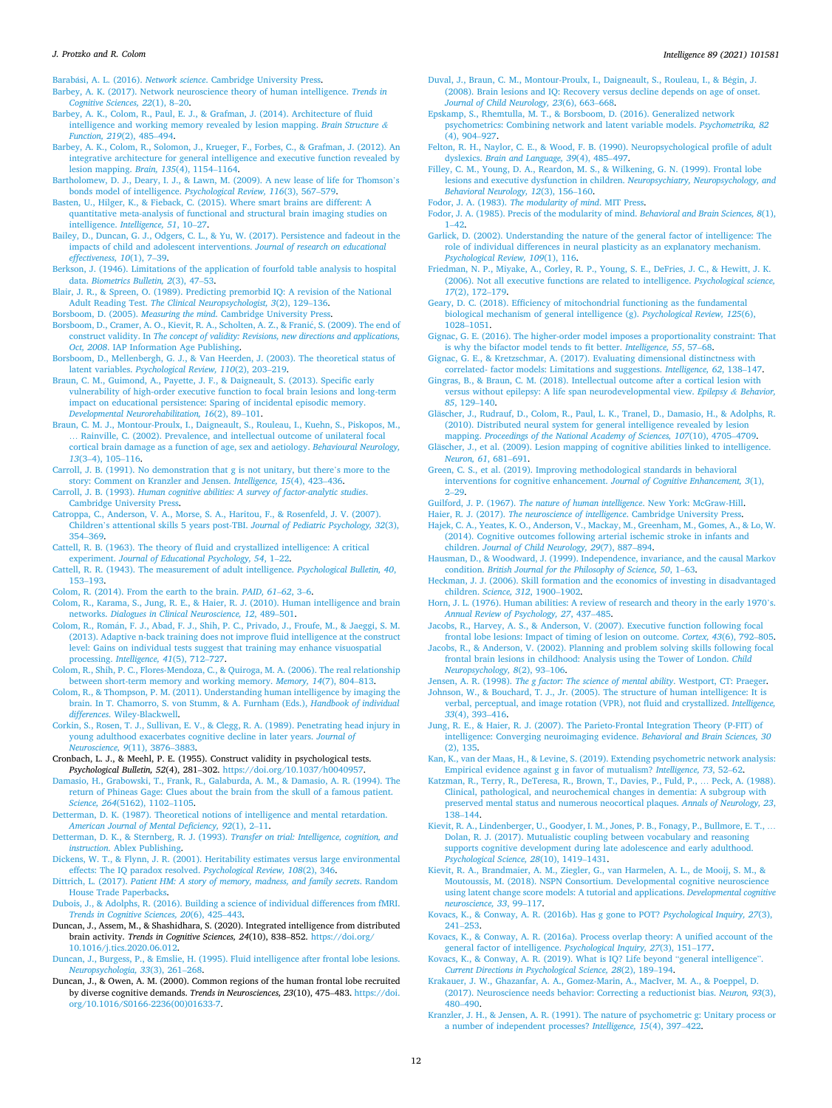#### <span id="page-11-0"></span>*J. Protzko and R. Colom*

Barabási, A. L. (2016). *Network science*[. Cambridge University Press.](http://refhub.elsevier.com/S0160-2896(21)00065-9/rf0065)

[Barbey, A. K. \(2017\). Network neuroscience theory of human intelligence.](http://refhub.elsevier.com/S0160-2896(21)00065-9/rf0070) *Trends in [Cognitive Sciences, 22](http://refhub.elsevier.com/S0160-2896(21)00065-9/rf0070)*(1), 8–20.

[Barbey, A. K., Colom, R., Paul, E. J., & Grafman, J. \(2014\). Architecture of fluid](http://refhub.elsevier.com/S0160-2896(21)00065-9/rf0075)  [intelligence and working memory revealed by lesion mapping.](http://refhub.elsevier.com/S0160-2896(21)00065-9/rf0075) *Brain Structure & [Function, 219](http://refhub.elsevier.com/S0160-2896(21)00065-9/rf0075)*(2), 485–494.

- [Barbey, A. K., Colom, R., Solomon, J., Krueger, F., Forbes, C., & Grafman, J. \(2012\). An](http://refhub.elsevier.com/S0160-2896(21)00065-9/rf0080)  [integrative architecture for general intelligence and executive function revealed by](http://refhub.elsevier.com/S0160-2896(21)00065-9/rf0080) [lesion mapping.](http://refhub.elsevier.com/S0160-2896(21)00065-9/rf0080) *Brain, 135*(4), 1154–1164.
- [Bartholomew, D. J., Deary, I. J., & Lawn, M. \(2009\). A new lease of life for Thomson](http://refhub.elsevier.com/S0160-2896(21)00065-9/rf0085)'s [bonds model of intelligence.](http://refhub.elsevier.com/S0160-2896(21)00065-9/rf0085) *Psychological Review, 116*(3), 567–579.

[Basten, U., Hilger, K., & Fieback, C. \(2015\). Where smart brains are different: A](http://refhub.elsevier.com/S0160-2896(21)00065-9/rf0090)  [quantitative meta-analysis of functional and structural brain imaging studies on](http://refhub.elsevier.com/S0160-2896(21)00065-9/rf0090) intelligence. *[Intelligence, 51](http://refhub.elsevier.com/S0160-2896(21)00065-9/rf0090)*, 10–27.

[Bailey, D., Duncan, G. J., Odgers, C. L., & Yu, W. \(2017\). Persistence and fadeout in the](http://refhub.elsevier.com/S0160-2896(21)00065-9/rf0091)  [impacts of child and adolescent interventions.](http://refhub.elsevier.com/S0160-2896(21)00065-9/rf0091) *Journal of research on educational [effectiveness, 10](http://refhub.elsevier.com/S0160-2896(21)00065-9/rf0091)*(1), 7–39.

[Berkson, J. \(1946\). Limitations of the application of fourfold table analysis to hospital](http://refhub.elsevier.com/S0160-2896(21)00065-9/rf0095)  data. *[Biometrics Bulletin, 2](http://refhub.elsevier.com/S0160-2896(21)00065-9/rf0095)*(3), 47–53.

[Blair, J. R., & Spreen, O. \(1989\). Predicting premorbid IQ: A revision of the National](http://refhub.elsevier.com/S0160-2896(21)00065-9/rf0100)  Adult Reading Test. *[The Clinical Neuropsychologist, 3](http://refhub.elsevier.com/S0160-2896(21)00065-9/rf0100)*(2), 129–136.

Borsboom, D. (2005). *Measuring the mind*[. Cambridge University Press.](http://refhub.elsevier.com/S0160-2896(21)00065-9/rf0105)

[Borsboom, D., Cramer, A. O., Kievit, R. A., Scholten, A. Z., & Frani](http://refhub.elsevier.com/S0160-2896(21)00065-9/rf0110)ć, S. (2009). The end of construct validity. In *[The concept of validity: Revisions, new directions and applications,](http://refhub.elsevier.com/S0160-2896(21)00065-9/rf0110)  Oct, 2008*[. IAP Information Age Publishing](http://refhub.elsevier.com/S0160-2896(21)00065-9/rf0110).

[Borsboom, D., Mellenbergh, G. J., & Van Heerden, J. \(2003\). The theoretical status of](http://refhub.elsevier.com/S0160-2896(21)00065-9/rf0115) latent variables. *[Psychological Review, 110](http://refhub.elsevier.com/S0160-2896(21)00065-9/rf0115)*(2), 203–219.

[Braun, C. M., Guimond, A., Payette, J. F., & Daigneault, S. \(2013\). Specific early](http://refhub.elsevier.com/S0160-2896(21)00065-9/rf0120) [vulnerability of high-order executive function to focal brain lesions and long-term](http://refhub.elsevier.com/S0160-2896(21)00065-9/rf0120)  [impact on educational persistence: Sparing of incidental episodic memory.](http://refhub.elsevier.com/S0160-2896(21)00065-9/rf0120) *[Developmental Neurorehabilitation, 16](http://refhub.elsevier.com/S0160-2896(21)00065-9/rf0120)*(2), 89–101.

[Braun, C. M. J., Montour-Proulx, I., Daigneault, S., Rouleau, I., Kuehn, S., Piskopos, M.,](http://refhub.elsevier.com/S0160-2896(21)00065-9/rf0125)  … [Rainville, C. \(2002\). Prevalence, and intellectual outcome of unilateral focal](http://refhub.elsevier.com/S0160-2896(21)00065-9/rf0125) [cortical brain damage as a function of age, sex and aetiology.](http://refhub.elsevier.com/S0160-2896(21)00065-9/rf0125) *Behavioural Neurology, 13*(3–[4\), 105](http://refhub.elsevier.com/S0160-2896(21)00065-9/rf0125)–116.

[Carroll, J. B. \(1991\). No demonstration that g is not unitary, but there](http://refhub.elsevier.com/S0160-2896(21)00065-9/rf0130)'s more to the [story: Comment on Kranzler and Jensen.](http://refhub.elsevier.com/S0160-2896(21)00065-9/rf0130) *Intelligence, 15*(4), 423–436.

- Carroll, J. B. (1993). *[Human cognitive abilities: A survey of factor-analytic studies](http://refhub.elsevier.com/S0160-2896(21)00065-9/rf0135)*. [Cambridge University Press.](http://refhub.elsevier.com/S0160-2896(21)00065-9/rf0135)
- [Catroppa, C., Anderson, V. A., Morse, S. A., Haritou, F., & Rosenfeld, J. V. \(2007\).](http://refhub.elsevier.com/S0160-2896(21)00065-9/rf0140)  Children'[s attentional skills 5 years post-TBI.](http://refhub.elsevier.com/S0160-2896(21)00065-9/rf0140) *Journal of Pediatric Psychology, 32*(3), 354–[369](http://refhub.elsevier.com/S0160-2896(21)00065-9/rf0140).
- [Cattell, R. B. \(1963\). The theory of fluid and crystallized intelligence: A critical](http://refhub.elsevier.com/S0160-2896(21)00065-9/rf0145)  experiment. *[Journal of Educational Psychology, 54](http://refhub.elsevier.com/S0160-2896(21)00065-9/rf0145)*, 1–22.
- [Cattell, R. R. \(1943\). The measurement of adult intelligence.](http://refhub.elsevier.com/S0160-2896(21)00065-9/rf0150) *Psychological Bulletin, 40*, 153–[193](http://refhub.elsevier.com/S0160-2896(21)00065-9/rf0150).

[Colom, R. \(2014\). From the earth to the brain.](http://refhub.elsevier.com/S0160-2896(21)00065-9/rf0160) *PAID, 61*–*62*, 3–6.

[Colom, R., Karama, S., Jung, R. E., & Haier, R. J. \(2010\). Human intelligence and brain](http://refhub.elsevier.com/S0160-2896(21)00065-9/rf0170)  networks. *[Dialogues in Clinical Neuroscience, 12](http://refhub.elsevier.com/S0160-2896(21)00065-9/rf0170)*, 489–501.

Colom, R., Rom´[an, F. J., Abad, F. J., Shih, P. C., Privado, J., Froufe, M., & Jaeggi, S. M.](http://refhub.elsevier.com/S0160-2896(21)00065-9/rf0175)  [\(2013\). Adaptive n-back training does not improve fluid intelligence at the construct](http://refhub.elsevier.com/S0160-2896(21)00065-9/rf0175)  [level: Gains on individual tests suggest that training may enhance visuospatial](http://refhub.elsevier.com/S0160-2896(21)00065-9/rf0175) processing. *[Intelligence, 41](http://refhub.elsevier.com/S0160-2896(21)00065-9/rf0175)*(5), 712–727.

- [Colom, R., Shih, P. C., Flores-Mendoza, C., & Quiroga, M. A. \(2006\). The real relationship](http://refhub.elsevier.com/S0160-2896(21)00065-9/rf0180)  [between short-term memory and working memory.](http://refhub.elsevier.com/S0160-2896(21)00065-9/rf0180) *Memory, 14*(7), 804–813.
- [Colom, R., & Thompson, P. M. \(2011\). Understanding human intelligence by imaging the](http://refhub.elsevier.com/S0160-2896(21)00065-9/rf0185)  [brain. In T. Chamorro, S. von Stumm, & A. Furnham \(Eds.\),](http://refhub.elsevier.com/S0160-2896(21)00065-9/rf0185) *Handbook of individual differences*[. Wiley-Blackwell](http://refhub.elsevier.com/S0160-2896(21)00065-9/rf0185).
- [Corkin, S., Rosen, T. J., Sullivan, E. V., & Clegg, R. A. \(1989\). Penetrating head injury in](http://refhub.elsevier.com/S0160-2896(21)00065-9/rf0190)  [young adulthood exacerbates cognitive decline in later years.](http://refhub.elsevier.com/S0160-2896(21)00065-9/rf0190) *Journal of [Neuroscience, 9](http://refhub.elsevier.com/S0160-2896(21)00065-9/rf0190)*(11), 3876–3883.
- Cronbach, L. J., & Meehl, P. E. (1955). Construct validity in psychological tests. *Psychological Bulletin, 52*(4), 281–302. <https://doi.org/10.1037/h0040957>.
- [Damasio, H., Grabowski, T., Frank, R., Galaburda, A. M., & Damasio, A. R. \(1994\). The](http://refhub.elsevier.com/S0160-2896(21)00065-9/rf0200)  [return of Phineas Gage: Clues about the brain from the skull of a famous patient.](http://refhub.elsevier.com/S0160-2896(21)00065-9/rf0200)  *Science, 264*[\(5162\), 1102](http://refhub.elsevier.com/S0160-2896(21)00065-9/rf0200)–1105.
- [Detterman, D. K. \(1987\). Theoretical notions of intelligence and mental retardation.](http://refhub.elsevier.com/S0160-2896(21)00065-9/rf0205)  *[American Journal of Mental Deficiency, 92](http://refhub.elsevier.com/S0160-2896(21)00065-9/rf0205)*(1), 2–11.
- [Detterman, D. K., & Sternberg, R. J. \(1993\).](http://refhub.elsevier.com/S0160-2896(21)00065-9/rf0210) *Transfer on trial: Intelligence, cognition, and instruction*[. Ablex Publishing.](http://refhub.elsevier.com/S0160-2896(21)00065-9/rf0210)
- [Dickens, W. T., & Flynn, J. R. \(2001\). Heritability estimates versus large environmental](http://refhub.elsevier.com/S0160-2896(21)00065-9/rf0220)  [effects: The IQ paradox resolved.](http://refhub.elsevier.com/S0160-2896(21)00065-9/rf0220) *Psychological Review, 108*(2), 346.
- Dittrich, L. (2017). *[Patient HM: A story of memory, madness, and family secrets](http://refhub.elsevier.com/S0160-2896(21)00065-9/rf0225)*. Random [House Trade Paperbacks](http://refhub.elsevier.com/S0160-2896(21)00065-9/rf0225).
- [Dubois, J., & Adolphs, R. \(2016\). Building a science of individual differences from fMRI.](http://refhub.elsevier.com/S0160-2896(21)00065-9/rf0235)  *[Trends in Cognitive Sciences, 20](http://refhub.elsevier.com/S0160-2896(21)00065-9/rf0235)*(6), 425–443.
- Duncan, J., Assem, M., & Shashidhara, S. (2020). Integrated intelligence from distributed brain activity. *Trends in Cognitive Sciences, 24*(10), 838–852. [https://doi.org/](https://doi.org/10.1016/j.tics.2020.06.012) [10.1016/j.tics.2020.06.012.](https://doi.org/10.1016/j.tics.2020.06.012)
- [Duncan, J., Burgess, P., & Emslie, H. \(1995\). Fluid intelligence after frontal lobe lesions.](http://refhub.elsevier.com/S0160-2896(21)00065-9/rf0250)  *[Neuropsychologia, 33](http://refhub.elsevier.com/S0160-2896(21)00065-9/rf0250)*(3), 261–268.
- Duncan, J., & Owen, A. M. (2000). Common regions of the human frontal lobe recruited by diverse cognitive demands. *Trends in Neurosciences, 23*(10), 475–483. [https://doi.](https://doi.org/10.1016/S0166-2236(00)01633-7)  [org/10.1016/S0166-2236\(00\)01633-7](https://doi.org/10.1016/S0166-2236(00)01633-7).
- [Duval, J., Braun, C. M., Montour-Proulx, I., Daigneault, S., Rouleau, I., & B](http://refhub.elsevier.com/S0160-2896(21)00065-9/rf0260)égin, J. [\(2008\). Brain lesions and IQ: Recovery versus decline depends on age of onset.](http://refhub.elsevier.com/S0160-2896(21)00065-9/rf0260)  *[Journal of Child Neurology, 23](http://refhub.elsevier.com/S0160-2896(21)00065-9/rf0260)*(6), 663–668.
- [Epskamp, S., Rhemtulla, M. T., & Borsboom, D. \(2016\). Generalized network](http://refhub.elsevier.com/S0160-2896(21)00065-9/rf0265) [psychometrics: Combining network and latent variable models.](http://refhub.elsevier.com/S0160-2896(21)00065-9/rf0265) *Psychometrika, 82*  [\(4\), 904](http://refhub.elsevier.com/S0160-2896(21)00065-9/rf0265)–927.
- [Felton, R. H., Naylor, C. E., & Wood, F. B. \(1990\). Neuropsychological profile of adult](http://refhub.elsevier.com/S0160-2896(21)00065-9/rf0275)  dyslexics. *[Brain and Language, 39](http://refhub.elsevier.com/S0160-2896(21)00065-9/rf0275)*(4), 485–497.
- [Filley, C. M., Young, D. A., Reardon, M. S., & Wilkening, G. N. \(1999\). Frontal lobe](http://refhub.elsevier.com/S0160-2896(21)00065-9/rf0280) [lesions and executive dysfunction in children.](http://refhub.elsevier.com/S0160-2896(21)00065-9/rf0280) *Neuropsychiatry, Neuropsychology, and [Behavioral Neurology, 12](http://refhub.elsevier.com/S0160-2896(21)00065-9/rf0280)*(3), 156–160.

[Fodor, J. A. \(1985\). Precis of the modularity of mind.](http://refhub.elsevier.com/S0160-2896(21)00065-9/rf0290) *Behavioral and Brain Sciences, 8*(1), 1–[42.](http://refhub.elsevier.com/S0160-2896(21)00065-9/rf0290)

- [Garlick, D. \(2002\). Understanding the nature of the general factor of intelligence: The](http://refhub.elsevier.com/S0160-2896(21)00065-9/rf0295)  [role of individual differences in neural plasticity as an explanatory mechanism.](http://refhub.elsevier.com/S0160-2896(21)00065-9/rf0295)  *[Psychological Review, 109](http://refhub.elsevier.com/S0160-2896(21)00065-9/rf0295)*(1), 116.
- [Friedman, N. P., Miyake, A., Corley, R. P., Young, S. E., DeFries, J. C., & Hewitt, J. K.](http://refhub.elsevier.com/S0160-2896(21)00065-9/rf0296) [\(2006\). Not all executive functions are related to intelligence.](http://refhub.elsevier.com/S0160-2896(21)00065-9/rf0296) *Psychological science, 17*[\(2\), 172](http://refhub.elsevier.com/S0160-2896(21)00065-9/rf0296)–179.

[Geary, D. C. \(2018\). Efficiency of mitochondrial functioning as the fundamental](http://refhub.elsevier.com/S0160-2896(21)00065-9/rf0300) [biological mechanism of general intelligence \(g\).](http://refhub.elsevier.com/S0160-2896(21)00065-9/rf0300) *Psychological Review, 125*(6), [1028](http://refhub.elsevier.com/S0160-2896(21)00065-9/rf0300)–1051.

[Gignac, G. E. \(2016\). The higher-order model imposes a proportionality constraint: That](http://refhub.elsevier.com/S0160-2896(21)00065-9/rf0305)  [is why the bifactor model tends to fit better.](http://refhub.elsevier.com/S0160-2896(21)00065-9/rf0305) *Intelligence, 55*, 57–68.

[Gignac, G. E., & Kretzschmar, A. \(2017\). Evaluating dimensional distinctness with](http://refhub.elsevier.com/S0160-2896(21)00065-9/rf0310) [correlated- factor models: Limitations and suggestions.](http://refhub.elsevier.com/S0160-2896(21)00065-9/rf0310) *Intelligence, 62*, 138–147.

- [Gingras, B., & Braun, C. M. \(2018\). Intellectual outcome after a cortical lesion with](http://refhub.elsevier.com/S0160-2896(21)00065-9/rf0315) [versus without epilepsy: A life span neurodevelopmental view.](http://refhub.elsevier.com/S0160-2896(21)00065-9/rf0315) *Epilepsy & Behavior, 85*[, 129](http://refhub.elsevier.com/S0160-2896(21)00065-9/rf0315)–140.
- Gläscher, J., Rudrauf, D., Colom, R., Paul, L. K., Tranel, D., Damasio, H., & Adolphs, R. [\(2010\). Distributed neural system for general intelligence revealed by lesion](http://refhub.elsevier.com/S0160-2896(21)00065-9/rf0320) mapping. *[Proceedings of the National Academy of Sciences, 107](http://refhub.elsevier.com/S0160-2896(21)00065-9/rf0320)*(10), 4705–4709.
- Gläscher, J., et al. (2009). Lesion mapping of cognitive abilities linked to intelligence. *[Neuron, 61](http://refhub.elsevier.com/S0160-2896(21)00065-9/rf0325)*, 681–691.
- [Green, C. S., et al. \(2019\). Improving methodological standards in behavioral](http://refhub.elsevier.com/S0160-2896(21)00065-9/rf0330)  [interventions for cognitive enhancement.](http://refhub.elsevier.com/S0160-2896(21)00065-9/rf0330) *Journal of Cognitive Enhancement, 3*(1), 2–[29.](http://refhub.elsevier.com/S0160-2896(21)00065-9/rf0330)
- Guilford, J. P. (1967). *[The nature of human intelligence](http://refhub.elsevier.com/S0160-2896(21)00065-9/rf0335)*. New York: McGraw-Hill.
- Haier, R. J. (2017). *[The neuroscience of intelligence](http://refhub.elsevier.com/S0160-2896(21)00065-9/rf0340)*. Cambridge University Press.
- [Hajek, C. A., Yeates, K. O., Anderson, V., Mackay, M., Greenham, M., Gomes, A., & Lo, W.](http://refhub.elsevier.com/S0160-2896(21)00065-9/rf0345)  [\(2014\). Cognitive outcomes following arterial ischemic stroke in infants and](http://refhub.elsevier.com/S0160-2896(21)00065-9/rf0345)  children. *[Journal of Child Neurology, 29](http://refhub.elsevier.com/S0160-2896(21)00065-9/rf0345)*(7), 887–894.

[Hausman, D., & Woodward, J. \(1999\). Independence, invariance, and the causal Markov](http://refhub.elsevier.com/S0160-2896(21)00065-9/rf0350) 

- condition. *[British Journal for the Philosophy of Science, 50](http://refhub.elsevier.com/S0160-2896(21)00065-9/rf0350)*, 1–63. [Heckman, J. J. \(2006\). Skill formation and the economics of investing in disadvantaged](http://refhub.elsevier.com/S0160-2896(21)00065-9/rf0360)  children. *[Science, 312](http://refhub.elsevier.com/S0160-2896(21)00065-9/rf0360)*, 1900–1902.
- [Horn, J. L. \(1976\). Human abilities: A review of research and theory in the early 1970](http://refhub.elsevier.com/S0160-2896(21)00065-9/rf0365)'s. *[Annual Review of Psychology, 27](http://refhub.elsevier.com/S0160-2896(21)00065-9/rf0365)*, 437–485.

[Jacobs, R., Harvey, A. S., & Anderson, V. \(2007\). Executive function following focal](http://refhub.elsevier.com/S0160-2896(21)00065-9/rf0370)  [frontal lobe lesions: Impact of timing of lesion on outcome.](http://refhub.elsevier.com/S0160-2896(21)00065-9/rf0370) *Cortex, 43*(6), 792–805.

- [Jacobs, R., & Anderson, V. \(2002\). Planning and problem solving skills following focal](http://refhub.elsevier.com/S0160-2896(21)00065-9/rf0371)  [frontal brain lesions in childhood: Analysis using the Tower of London.](http://refhub.elsevier.com/S0160-2896(21)00065-9/rf0371) *Child [Neuropsychology, 8](http://refhub.elsevier.com/S0160-2896(21)00065-9/rf0371)*(2), 93–106.
- Jensen, A. R. (1998). *[The g factor: The science of mental ability](http://refhub.elsevier.com/S0160-2896(21)00065-9/rf0375)*. Westport, CT: Praeger.
- [Johnson, W., & Bouchard, T. J., Jr. \(2005\). The structure of human intelligence: It is](http://refhub.elsevier.com/S0160-2896(21)00065-9/rf0380) [verbal, perceptual, and image rotation \(VPR\), not fluid and crystallized.](http://refhub.elsevier.com/S0160-2896(21)00065-9/rf0380) *Intelligence, 33*[\(4\), 393](http://refhub.elsevier.com/S0160-2896(21)00065-9/rf0380)–416.
- [Jung, R. E., & Haier, R. J. \(2007\). The Parieto-Frontal Integration Theory \(P-FIT\) of](http://refhub.elsevier.com/S0160-2896(21)00065-9/rf0385) [intelligence: Converging neuroimaging evidence.](http://refhub.elsevier.com/S0160-2896(21)00065-9/rf0385) *Behavioral and Brain Sciences, 30*  [\(2\), 135.](http://refhub.elsevier.com/S0160-2896(21)00065-9/rf0385)
- [Kan, K., van der Maas, H., & Levine, S. \(2019\). Extending psychometric network analysis:](http://refhub.elsevier.com/S0160-2896(21)00065-9/rf0390)  [Empirical evidence against g in favor of mutualism?](http://refhub.elsevier.com/S0160-2896(21)00065-9/rf0390) *Intelligence, 73*, 52–62.
- [Katzman, R., Terry, R., DeTeresa, R., Brown, T., Davies, P., Fuld, P.,](http://refhub.elsevier.com/S0160-2896(21)00065-9/rf0395) … Peck, A. (1988). [Clinical, pathological, and neurochemical changes in dementia: A subgroup with](http://refhub.elsevier.com/S0160-2896(21)00065-9/rf0395)  [preserved mental status and numerous neocortical plaques.](http://refhub.elsevier.com/S0160-2896(21)00065-9/rf0395) *Annals of Neurology, 23*, 138–[144](http://refhub.elsevier.com/S0160-2896(21)00065-9/rf0395).
- [Kievit, R. A., Lindenberger, U., Goodyer, I. M., Jones, P. B., Fonagy, P., Bullmore, E. T.,](http://refhub.elsevier.com/S0160-2896(21)00065-9/rf0400) … [Dolan, R. J. \(2017\). Mutualistic coupling between vocabulary and reasoning](http://refhub.elsevier.com/S0160-2896(21)00065-9/rf0400)  [supports cognitive development during late adolescence and early adulthood.](http://refhub.elsevier.com/S0160-2896(21)00065-9/rf0400)  *[Psychological Science, 28](http://refhub.elsevier.com/S0160-2896(21)00065-9/rf0400)*(10), 1419–1431.
- [Kievit, R. A., Brandmaier, A. M., Ziegler, G., van Harmelen, A. L., de Mooij, S. M., &](http://refhub.elsevier.com/S0160-2896(21)00065-9/rf0401) [Moutoussis, M. \(2018\). NSPN Consortium. Developmental cognitive neuroscience](http://refhub.elsevier.com/S0160-2896(21)00065-9/rf0401)  [using latent change score models: A tutorial and applications.](http://refhub.elsevier.com/S0160-2896(21)00065-9/rf0401) *Developmental cognitive [neuroscience, 33](http://refhub.elsevier.com/S0160-2896(21)00065-9/rf0401)*, 99–117.
- [Kovacs, K., & Conway, A. R. \(2016b\). Has g gone to POT?](http://refhub.elsevier.com/S0160-2896(21)00065-9/rf0405) *Psychological Inquiry, 27*(3), 241–[253](http://refhub.elsevier.com/S0160-2896(21)00065-9/rf0405).
- [Kovacs, K., & Conway, A. R. \(2016a\). Process overlap theory: A unified account of the](http://refhub.elsevier.com/S0160-2896(21)00065-9/rf0410) [general factor of intelligence.](http://refhub.elsevier.com/S0160-2896(21)00065-9/rf0410) *Psychological Inquiry, 27*(3), 151–177.
- [Kovacs, K., & Conway, A. R. \(2019\). What is IQ? Life beyond](http://refhub.elsevier.com/S0160-2896(21)00065-9/rf0415) "general intelligence". *[Current Directions in Psychological Science, 28](http://refhub.elsevier.com/S0160-2896(21)00065-9/rf0415)*(2), 189–194.
- [Krakauer, J. W., Ghazanfar, A. A., Gomez-Marin, A., MacIver, M. A., & Poeppel, D.](http://refhub.elsevier.com/S0160-2896(21)00065-9/rf0420)  [\(2017\). Neuroscience needs behavior: Correcting a reductionist bias.](http://refhub.elsevier.com/S0160-2896(21)00065-9/rf0420) *Neuron, 93*(3), 480–[490](http://refhub.elsevier.com/S0160-2896(21)00065-9/rf0420).
- [Kranzler, J. H., & Jensen, A. R. \(1991\). The nature of psychometric g: Unitary process or](http://refhub.elsevier.com/S0160-2896(21)00065-9/rf0425)  [a number of independent processes?](http://refhub.elsevier.com/S0160-2896(21)00065-9/rf0425) *Intelligence, 15*(4), 397–422.

Fodor, J. A. (1983). *[The modularity of mind](http://refhub.elsevier.com/S0160-2896(21)00065-9/rf0285)*. MIT Press.